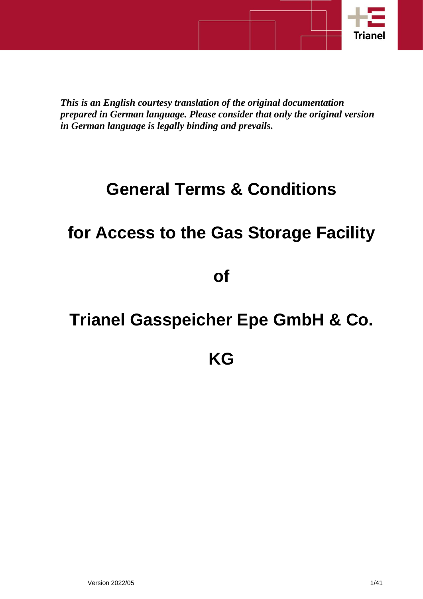

*This is an English courtesy translation of the original documentation prepared in German language. Please consider that only the original version in German language is legally binding and prevails.*

# **General Terms & Conditions**

# **for Access to the Gas Storage Facility**

**of**

# **Trianel Gasspeicher Epe GmbH & Co.**

## **KG**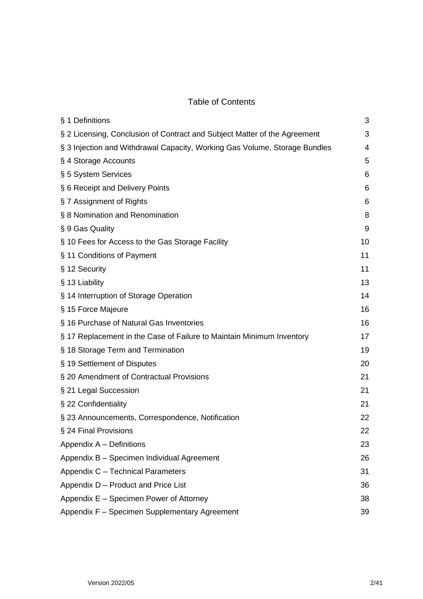## Table of Contents

| § 1 Definitions                                                            | 3  |
|----------------------------------------------------------------------------|----|
| § 2 Licensing, Conclusion of Contract and Subject Matter of the Agreement  | 3  |
| § 3 Injection and Withdrawal Capacity, Working Gas Volume, Storage Bundles | 4  |
| § 4 Storage Accounts                                                       | 5  |
| § 5 System Services                                                        | 6  |
| § 6 Receipt and Delivery Points                                            | 6  |
| § 7 Assignment of Rights                                                   | 6  |
| § 8 Nomination and Renomination                                            | 8  |
| § 9 Gas Quality                                                            | 9  |
| § 10 Fees for Access to the Gas Storage Facility                           | 10 |
| § 11 Conditions of Payment                                                 | 11 |
| § 12 Security                                                              | 11 |
| § 13 Liability                                                             | 13 |
| § 14 Interruption of Storage Operation                                     | 14 |
| § 15 Force Majeure                                                         | 16 |
| § 16 Purchase of Natural Gas Inventories                                   | 16 |
| § 17 Replacement in the Case of Failure to Maintain Minimum Inventory      | 17 |
| § 18 Storage Term and Termination                                          | 19 |
| § 19 Settlement of Disputes                                                | 20 |
| § 20 Amendment of Contractual Provisions                                   | 21 |
| § 21 Legal Succession                                                      | 21 |
| § 22 Confidentiality                                                       | 21 |
| § 23 Announcements, Correspondence, Notification                           | 22 |
| § 24 Final Provisions                                                      | 22 |
| Appendix A - Definitions                                                   | 23 |
| Appendix B - Specimen Individual Agreement                                 | 26 |
| Appendix C - Technical Parameters                                          | 31 |
| Appendix D - Product and Price List                                        | 36 |
| Appendix E - Specimen Power of Attorney                                    | 38 |
| Appendix F - Specimen Supplementary Agreement                              | 39 |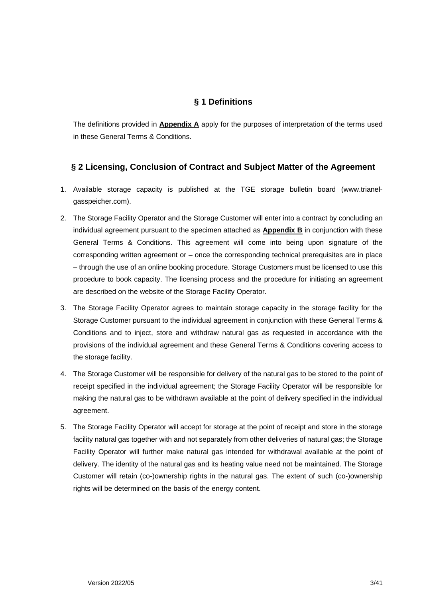## **§ 1 Definitions**

<span id="page-2-0"></span>The definitions provided in **Appendix A** apply for the purposes of interpretation of the terms used in these General Terms & Conditions.

### <span id="page-2-1"></span>**§ 2 Licensing, Conclusion of Contract and Subject Matter of the Agreement**

- 1. Available storage capacity is published at the TGE storage bulletin board (www.trianelgasspeicher.com).
- 2. The Storage Facility Operator and the Storage Customer will enter into a contract by concluding an individual agreement pursuant to the specimen attached as **Appendix B** in conjunction with these General Terms & Conditions. This agreement will come into being upon signature of the corresponding written agreement or – once the corresponding technical prerequisites are in place – through the use of an online booking procedure. Storage Customers must be licensed to use this procedure to book capacity. The licensing process and the procedure for initiating an agreement are described on the website of the Storage Facility Operator.
- 3. The Storage Facility Operator agrees to maintain storage capacity in the storage facility for the Storage Customer pursuant to the individual agreement in conjunction with these General Terms & Conditions and to inject, store and withdraw natural gas as requested in accordance with the provisions of the individual agreement and these General Terms & Conditions covering access to the storage facility.
- 4. The Storage Customer will be responsible for delivery of the natural gas to be stored to the point of receipt specified in the individual agreement; the Storage Facility Operator will be responsible for making the natural gas to be withdrawn available at the point of delivery specified in the individual agreement.
- 5. The Storage Facility Operator will accept for storage at the point of receipt and store in the storage facility natural gas together with and not separately from other deliveries of natural gas; the Storage Facility Operator will further make natural gas intended for withdrawal available at the point of delivery. The identity of the natural gas and its heating value need not be maintained. The Storage Customer will retain (co-)ownership rights in the natural gas. The extent of such (co-)ownership rights will be determined on the basis of the energy content.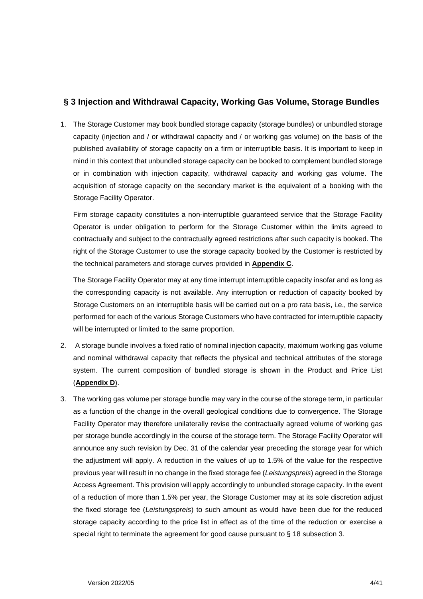### <span id="page-3-0"></span>**§ 3 Injection and Withdrawal Capacity, Working Gas Volume, Storage Bundles**

1. The Storage Customer may book bundled storage capacity (storage bundles) or unbundled storage capacity (injection and / or withdrawal capacity and / or working gas volume) on the basis of the published availability of storage capacity on a firm or interruptible basis. It is important to keep in mind in this context that unbundled storage capacity can be booked to complement bundled storage or in combination with injection capacity, withdrawal capacity and working gas volume. The acquisition of storage capacity on the secondary market is the equivalent of a booking with the Storage Facility Operator.

Firm storage capacity constitutes a non-interruptible guaranteed service that the Storage Facility Operator is under obligation to perform for the Storage Customer within the limits agreed to contractually and subject to the contractually agreed restrictions after such capacity is booked. The right of the Storage Customer to use the storage capacity booked by the Customer is restricted by the technical parameters and storage curves provided in **Appendix C**.

The Storage Facility Operator may at any time interrupt interruptible capacity insofar and as long as the corresponding capacity is not available. Any interruption or reduction of capacity booked by Storage Customers on an interruptible basis will be carried out on a pro rata basis, i.e., the service performed for each of the various Storage Customers who have contracted for interruptible capacity will be interrupted or limited to the same proportion.

- 2. A storage bundle involves a fixed ratio of nominal injection capacity, maximum working gas volume and nominal withdrawal capacity that reflects the physical and technical attributes of the storage system. The current composition of bundled storage is shown in the Product and Price List (**Appendix D**).
- 3. The working gas volume per storage bundle may vary in the course of the storage term, in particular as a function of the change in the overall geological conditions due to convergence. The Storage Facility Operator may therefore unilaterally revise the contractually agreed volume of working gas per storage bundle accordingly in the course of the storage term. The Storage Facility Operator will announce any such revision by Dec. 31 of the calendar year preceding the storage year for which the adjustment will apply. A reduction in the values of up to 1.5% of the value for the respective previous year will result in no change in the fixed storage fee (*Leistungspreis*) agreed in the Storage Access Agreement. This provision will apply accordingly to unbundled storage capacity. In the event of a reduction of more than 1.5% per year, the Storage Customer may at its sole discretion adjust the fixed storage fee (*Leistungspreis*) to such amount as would have been due for the reduced storage capacity according to the price list in effect as of the time of the reduction or exercise a special right to terminate the agreement for good cause pursuant to § 18 subsection 3.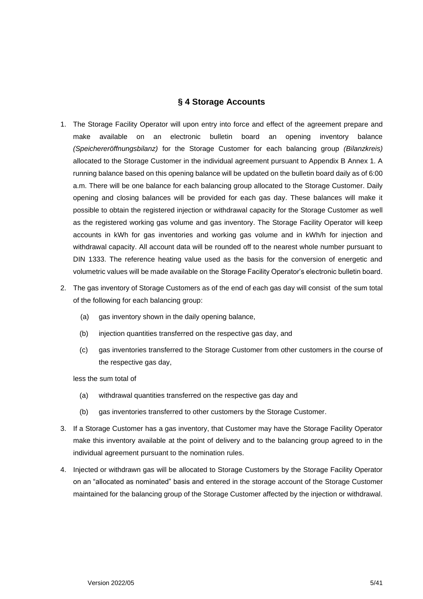#### **§ 4 Storage Accounts**

- <span id="page-4-0"></span>1. The Storage Facility Operator will upon entry into force and effect of the agreement prepare and make available on an electronic bulletin board an opening inventory balance *(Speichereröffnungsbilanz)* for the Storage Customer for each balancing group *(Bilanzkreis)* allocated to the Storage Customer in the individual agreement pursuant to Appendix B Annex 1. A running balance based on this opening balance will be updated on the bulletin board daily as of 6:00 a.m. There will be one balance for each balancing group allocated to the Storage Customer. Daily opening and closing balances will be provided for each gas day. These balances will make it possible to obtain the registered injection or withdrawal capacity for the Storage Customer as well as the registered working gas volume and gas inventory. The Storage Facility Operator will keep accounts in kWh for gas inventories and working gas volume and in kWh/h for injection and withdrawal capacity. All account data will be rounded off to the nearest whole number pursuant to DIN 1333. The reference heating value used as the basis for the conversion of energetic and volumetric values will be made available on the Storage Facility Operator's electronic bulletin board.
- 2. The gas inventory of Storage Customers as of the end of each gas day will consist of the sum total of the following for each balancing group:
	- (a) gas inventory shown in the daily opening balance,
	- (b) injection quantities transferred on the respective gas day, and
	- (c) gas inventories transferred to the Storage Customer from other customers in the course of the respective gas day,

less the sum total of

- (a) withdrawal quantities transferred on the respective gas day and
- (b) gas inventories transferred to other customers by the Storage Customer.
- 3. If a Storage Customer has a gas inventory, that Customer may have the Storage Facility Operator make this inventory available at the point of delivery and to the balancing group agreed to in the individual agreement pursuant to the nomination rules.
- 4. Injected or withdrawn gas will be allocated to Storage Customers by the Storage Facility Operator on an "allocated as nominated" basis and entered in the storage account of the Storage Customer maintained for the balancing group of the Storage Customer affected by the injection or withdrawal.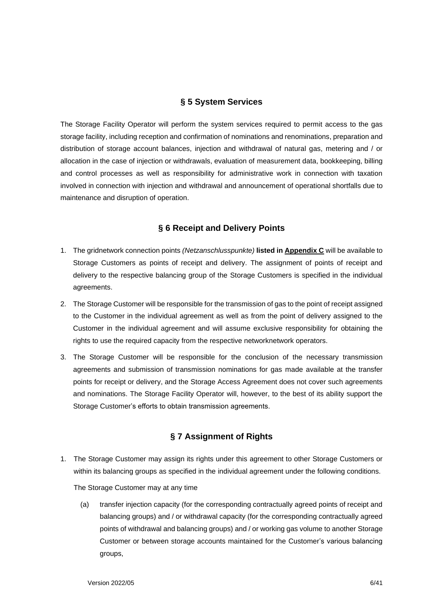#### **§ 5 System Services**

<span id="page-5-0"></span>The Storage Facility Operator will perform the system services required to permit access to the gas storage facility, including reception and confirmation of nominations and renominations, preparation and distribution of storage account balances, injection and withdrawal of natural gas, metering and / or allocation in the case of injection or withdrawals, evaluation of measurement data, bookkeeping, billing and control processes as well as responsibility for administrative work in connection with taxation involved in connection with injection and withdrawal and announcement of operational shortfalls due to maintenance and disruption of operation.

#### **§ 6 Receipt and Delivery Points**

- <span id="page-5-1"></span>1. The gridnetwork connection points *(Netzanschlusspunkte)* **listed in Appendix C** will be available to Storage Customers as points of receipt and delivery. The assignment of points of receipt and delivery to the respective balancing group of the Storage Customers is specified in the individual agreements.
- 2. The Storage Customer will be responsible for the transmission of gas to the point of receipt assigned to the Customer in the individual agreement as well as from the point of delivery assigned to the Customer in the individual agreement and will assume exclusive responsibility for obtaining the rights to use the required capacity from the respective networknetwork operators.
- 3. The Storage Customer will be responsible for the conclusion of the necessary transmission agreements and submission of transmission nominations for gas made available at the transfer points for receipt or delivery, and the Storage Access Agreement does not cover such agreements and nominations. The Storage Facility Operator will, however, to the best of its ability support the Storage Customer's efforts to obtain transmission agreements.

#### **§ 7 Assignment of Rights**

<span id="page-5-2"></span>1. The Storage Customer may assign its rights under this agreement to other Storage Customers or within its balancing groups as specified in the individual agreement under the following conditions.

The Storage Customer may at any time

(a) transfer injection capacity (for the corresponding contractually agreed points of receipt and balancing groups) and / or withdrawal capacity (for the corresponding contractually agreed points of withdrawal and balancing groups) and / or working gas volume to another Storage Customer or between storage accounts maintained for the Customer's various balancing groups,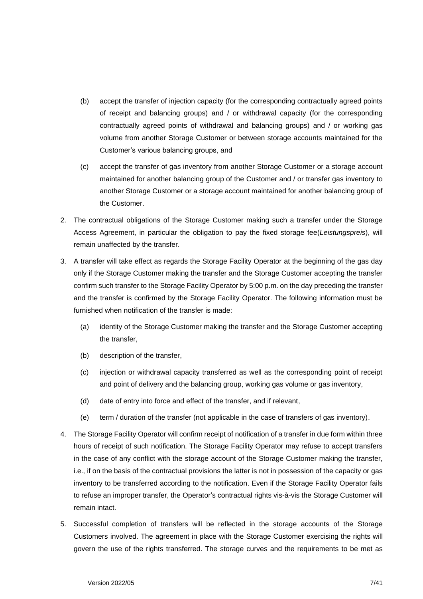- (b) accept the transfer of injection capacity (for the corresponding contractually agreed points of receipt and balancing groups) and / or withdrawal capacity (for the corresponding contractually agreed points of withdrawal and balancing groups) and / or working gas volume from another Storage Customer or between storage accounts maintained for the Customer's various balancing groups, and
- (c) accept the transfer of gas inventory from another Storage Customer or a storage account maintained for another balancing group of the Customer and / or transfer gas inventory to another Storage Customer or a storage account maintained for another balancing group of the Customer.
- 2. The contractual obligations of the Storage Customer making such a transfer under the Storage Access Agreement, in particular the obligation to pay the fixed storage fee(*Leistungspreis*), will remain unaffected by the transfer.
- 3. A transfer will take effect as regards the Storage Facility Operator at the beginning of the gas day only if the Storage Customer making the transfer and the Storage Customer accepting the transfer confirm such transfer to the Storage Facility Operator by 5:00 p.m. on the day preceding the transfer and the transfer is confirmed by the Storage Facility Operator. The following information must be furnished when notification of the transfer is made:
	- (a) identity of the Storage Customer making the transfer and the Storage Customer accepting the transfer,
	- (b) description of the transfer,
	- (c) injection or withdrawal capacity transferred as well as the corresponding point of receipt and point of delivery and the balancing group, working gas volume or gas inventory,
	- (d) date of entry into force and effect of the transfer, and if relevant,
	- (e) term / duration of the transfer (not applicable in the case of transfers of gas inventory).
- 4. The Storage Facility Operator will confirm receipt of notification of a transfer in due form within three hours of receipt of such notification. The Storage Facility Operator may refuse to accept transfers in the case of any conflict with the storage account of the Storage Customer making the transfer, i.e., if on the basis of the contractual provisions the latter is not in possession of the capacity or gas inventory to be transferred according to the notification. Even if the Storage Facility Operator fails to refuse an improper transfer, the Operator's contractual rights vis-à-vis the Storage Customer will remain intact.
- 5. Successful completion of transfers will be reflected in the storage accounts of the Storage Customers involved. The agreement in place with the Storage Customer exercising the rights will govern the use of the rights transferred. The storage curves and the requirements to be met as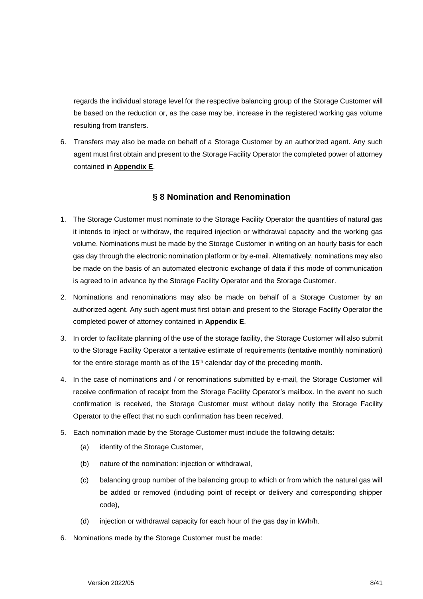regards the individual storage level for the respective balancing group of the Storage Customer will be based on the reduction or, as the case may be, increase in the registered working gas volume resulting from transfers.

6. Transfers may also be made on behalf of a Storage Customer by an authorized agent. Any such agent must first obtain and present to the Storage Facility Operator the completed power of attorney contained in **Appendix E**.

## **§ 8 Nomination and Renomination**

- <span id="page-7-0"></span>1. The Storage Customer must nominate to the Storage Facility Operator the quantities of natural gas it intends to inject or withdraw, the required injection or withdrawal capacity and the working gas volume. Nominations must be made by the Storage Customer in writing on an hourly basis for each gas day through the electronic nomination platform or by e-mail. Alternatively, nominations may also be made on the basis of an automated electronic exchange of data if this mode of communication is agreed to in advance by the Storage Facility Operator and the Storage Customer.
- 2. Nominations and renominations may also be made on behalf of a Storage Customer by an authorized agent. Any such agent must first obtain and present to the Storage Facility Operator the completed power of attorney contained in **Appendix E**.
- 3. In order to facilitate planning of the use of the storage facility, the Storage Customer will also submit to the Storage Facility Operator a tentative estimate of requirements (tentative monthly nomination) for the entire storage month as of the  $15<sup>th</sup>$  calendar day of the preceding month.
- 4. In the case of nominations and / or renominations submitted by e-mail, the Storage Customer will receive confirmation of receipt from the Storage Facility Operator's mailbox. In the event no such confirmation is received, the Storage Customer must without delay notify the Storage Facility Operator to the effect that no such confirmation has been received.
- 5. Each nomination made by the Storage Customer must include the following details:
	- (a) identity of the Storage Customer,
	- (b) nature of the nomination: injection or withdrawal,
	- (c) balancing group number of the balancing group to which or from which the natural gas will be added or removed (including point of receipt or delivery and corresponding shipper code),
	- (d) injection or withdrawal capacity for each hour of the gas day in kWh/h.
- 6. Nominations made by the Storage Customer must be made: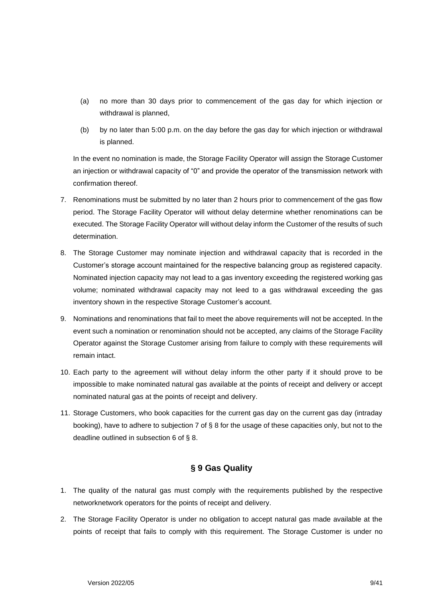- (a) no more than 30 days prior to commencement of the gas day for which injection or withdrawal is planned,
- (b) by no later than 5:00 p.m. on the day before the gas day for which injection or withdrawal is planned.

In the event no nomination is made, the Storage Facility Operator will assign the Storage Customer an injection or withdrawal capacity of "0" and provide the operator of the transmission network with confirmation thereof.

- 7. Renominations must be submitted by no later than 2 hours prior to commencement of the gas flow period. The Storage Facility Operator will without delay determine whether renominations can be executed. The Storage Facility Operator will without delay inform the Customer of the results of such determination.
- 8. The Storage Customer may nominate injection and withdrawal capacity that is recorded in the Customer's storage account maintained for the respective balancing group as registered capacity. Nominated injection capacity may not lead to a gas inventory exceeding the registered working gas volume; nominated withdrawal capacity may not leed to a gas withdrawal exceeding the gas inventory shown in the respective Storage Customer's account.
- 9. Nominations and renominations that fail to meet the above requirements will not be accepted. In the event such a nomination or renomination should not be accepted, any claims of the Storage Facility Operator against the Storage Customer arising from failure to comply with these requirements will remain intact.
- 10. Each party to the agreement will without delay inform the other party if it should prove to be impossible to make nominated natural gas available at the points of receipt and delivery or accept nominated natural gas at the points of receipt and delivery.
- 11. Storage Customers, who book capacities for the current gas day on the current gas day (intraday booking), have to adhere to subjection 7 of § 8 for the usage of these capacities only, but not to the deadline outlined in subsection 6 of § 8.

#### **§ 9 Gas Quality**

- <span id="page-8-0"></span>1. The quality of the natural gas must comply with the requirements published by the respective networknetwork operators for the points of receipt and delivery.
- 2. The Storage Facility Operator is under no obligation to accept natural gas made available at the points of receipt that fails to comply with this requirement. The Storage Customer is under no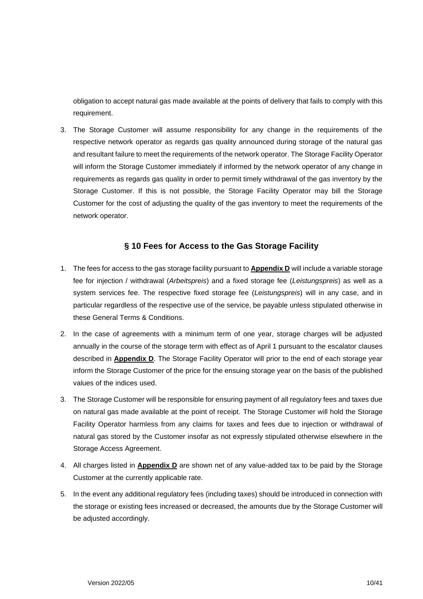obligation to accept natural gas made available at the points of delivery that fails to comply with this requirement.

3. The Storage Customer will assume responsibility for any change in the requirements of the respective network operator as regards gas quality announced during storage of the natural gas and resultant failure to meet the requirements of the network operator. The Storage Facility Operator will inform the Storage Customer immediately if informed by the network operator of any change in requirements as regards gas quality in order to permit timely withdrawal of the gas inventory by the Storage Customer. If this is not possible, the Storage Facility Operator may bill the Storage Customer for the cost of adjusting the quality of the gas inventory to meet the requirements of the network operator.

#### **§ 10 Fees for Access to the Gas Storage Facility**

- <span id="page-9-0"></span>1. The fees for access to the gas storage facility pursuant to **Appendix D** will include a variable storage fee for injection / withdrawal (*Arbeitspreis*) and a fixed storage fee (*Leistungspreis*) as well as a system services fee. The respective fixed storage fee (*Leistungspreis*) will in any case, and in particular regardless of the respective use of the service, be payable unless stipulated otherwise in these General Terms & Conditions.
- 2. In the case of agreements with a minimum term of one year, storage charges will be adjusted annually in the course of the storage term with effect as of April 1 pursuant to the escalator clauses described in **Appendix D**. The Storage Facility Operator will prior to the end of each storage year inform the Storage Customer of the price for the ensuing storage year on the basis of the published values of the indices used.
- 3. The Storage Customer will be responsible for ensuring payment of all regulatory fees and taxes due on natural gas made available at the point of receipt. The Storage Customer will hold the Storage Facility Operator harmless from any claims for taxes and fees due to injection or withdrawal of natural gas stored by the Customer insofar as not expressly stipulated otherwise elsewhere in the Storage Access Agreement.
- 4. All charges listed in **Appendix D** are shown net of any value-added tax to be paid by the Storage Customer at the currently applicable rate.
- 5. In the event any additional regulatory fees (including taxes) should be introduced in connection with the storage or existing fees increased or decreased, the amounts due by the Storage Customer will be adjusted accordingly.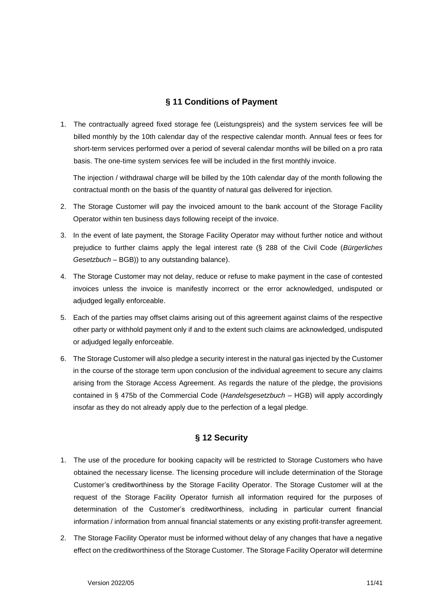## **§ 11 Conditions of Payment**

<span id="page-10-0"></span>1. The contractually agreed fixed storage fee (Leistungspreis) and the system services fee will be billed monthly by the 10th calendar day of the respective calendar month. Annual fees or fees for short-term services performed over a period of several calendar months will be billed on a pro rata basis. The one-time system services fee will be included in the first monthly invoice.

The injection / withdrawal charge will be billed by the 10th calendar day of the month following the contractual month on the basis of the quantity of natural gas delivered for injection.

- 2. The Storage Customer will pay the invoiced amount to the bank account of the Storage Facility Operator within ten business days following receipt of the invoice.
- 3. In the event of late payment, the Storage Facility Operator may without further notice and without prejudice to further claims apply the legal interest rate (§ 288 of the Civil Code (*Bürgerliches Gesetzbuch* – BGB)) to any outstanding balance).
- 4. The Storage Customer may not delay, reduce or refuse to make payment in the case of contested invoices unless the invoice is manifestly incorrect or the error acknowledged, undisputed or adjudged legally enforceable.
- 5. Each of the parties may offset claims arising out of this agreement against claims of the respective other party or withhold payment only if and to the extent such claims are acknowledged, undisputed or adjudged legally enforceable.
- 6. The Storage Customer will also pledge a security interest in the natural gas injected by the Customer in the course of the storage term upon conclusion of the individual agreement to secure any claims arising from the Storage Access Agreement. As regards the nature of the pledge, the provisions contained in § 475b of the Commercial Code (*Handelsgesetzbuch* – HGB) will apply accordingly insofar as they do not already apply due to the perfection of a legal pledge.

## **§ 12 Security**

- <span id="page-10-1"></span>1. The use of the procedure for booking capacity will be restricted to Storage Customers who have obtained the necessary license. The licensing procedure will include determination of the Storage Customer's creditworthiness by the Storage Facility Operator. The Storage Customer will at the request of the Storage Facility Operator furnish all information required for the purposes of determination of the Customer's creditworthiness, including in particular current financial information / information from annual financial statements or any existing profit-transfer agreement.
- 2. The Storage Facility Operator must be informed without delay of any changes that have a negative effect on the creditworthiness of the Storage Customer. The Storage Facility Operator will determine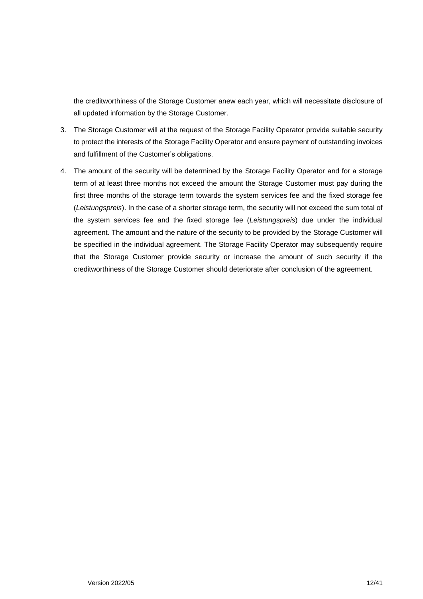the creditworthiness of the Storage Customer anew each year, which will necessitate disclosure of all updated information by the Storage Customer.

- 3. The Storage Customer will at the request of the Storage Facility Operator provide suitable security to protect the interests of the Storage Facility Operator and ensure payment of outstanding invoices and fulfillment of the Customer's obligations.
- <span id="page-11-0"></span>4. The amount of the security will be determined by the Storage Facility Operator and for a storage term of at least three months not exceed the amount the Storage Customer must pay during the first three months of the storage term towards the system services fee and the fixed storage fee (*Leistungspreis*). In the case of a shorter storage term, the security will not exceed the sum total of the system services fee and the fixed storage fee (*Leistungspreis*) due under the individual agreement. The amount and the nature of the security to be provided by the Storage Customer will be specified in the individual agreement. The Storage Facility Operator may subsequently require that the Storage Customer provide security or increase the amount of such security if the creditworthiness of the Storage Customer should deteriorate after conclusion of the agreement.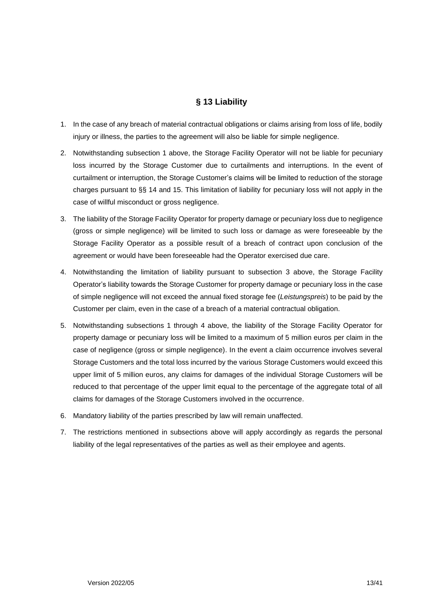## **§ 13 Liability**

- 1. In the case of any breach of material contractual obligations or claims arising from loss of life, bodily injury or illness, the parties to the agreement will also be liable for simple negligence.
- 2. Notwithstanding subsection 1 above, the Storage Facility Operator will not be liable for pecuniary loss incurred by the Storage Customer due to curtailments and interruptions. In the event of curtailment or interruption, the Storage Customer's claims will be limited to reduction of the storage charges pursuant to §§ 14 and 15. This limitation of liability for pecuniary loss will not apply in the case of willful misconduct or gross negligence.
- 3. The liability of the Storage Facility Operator for property damage or pecuniary loss due to negligence (gross or simple negligence) will be limited to such loss or damage as were foreseeable by the Storage Facility Operator as a possible result of a breach of contract upon conclusion of the agreement or would have been foreseeable had the Operator exercised due care.
- 4. Notwithstanding the limitation of liability pursuant to subsection 3 above, the Storage Facility Operator's liability towards the Storage Customer for property damage or pecuniary loss in the case of simple negligence will not exceed the annual fixed storage fee (*Leistungspreis*) to be paid by the Customer per claim, even in the case of a breach of a material contractual obligation.
- 5. Notwithstanding subsections 1 through 4 above, the liability of the Storage Facility Operator for property damage or pecuniary loss will be limited to a maximum of 5 million euros per claim in the case of negligence (gross or simple negligence). In the event a claim occurrence involves several Storage Customers and the total loss incurred by the various Storage Customers would exceed this upper limit of 5 million euros, any claims for damages of the individual Storage Customers will be reduced to that percentage of the upper limit equal to the percentage of the aggregate total of all claims for damages of the Storage Customers involved in the occurrence.
- 6. Mandatory liability of the parties prescribed by law will remain unaffected.
- <span id="page-12-0"></span>7. The restrictions mentioned in subsections above will apply accordingly as regards the personal liability of the legal representatives of the parties as well as their employee and agents.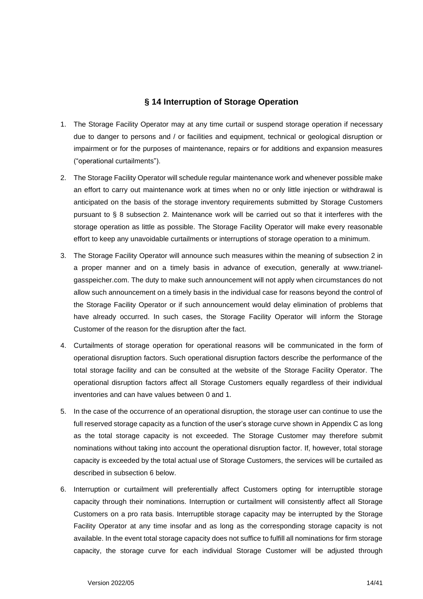#### **§ 14 Interruption of Storage Operation**

- 1. The Storage Facility Operator may at any time curtail or suspend storage operation if necessary due to danger to persons and / or facilities and equipment, technical or geological disruption or impairment or for the purposes of maintenance, repairs or for additions and expansion measures ("operational curtailments").
- 2. The Storage Facility Operator will schedule regular maintenance work and whenever possible make an effort to carry out maintenance work at times when no or only little injection or withdrawal is anticipated on the basis of the storage inventory requirements submitted by Storage Customers pursuant to § 8 subsection 2. Maintenance work will be carried out so that it interferes with the storage operation as little as possible. The Storage Facility Operator will make every reasonable effort to keep any unavoidable curtailments or interruptions of storage operation to a minimum.
- 3. The Storage Facility Operator will announce such measures within the meaning of subsection 2 in a proper manner and on a timely basis in advance of execution, generally at www.trianelgasspeicher.com. The duty to make such announcement will not apply when circumstances do not allow such announcement on a timely basis in the individual case for reasons beyond the control of the Storage Facility Operator or if such announcement would delay elimination of problems that have already occurred. In such cases, the Storage Facility Operator will inform the Storage Customer of the reason for the disruption after the fact.
- 4. Curtailments of storage operation for operational reasons will be communicated in the form of operational disruption factors. Such operational disruption factors describe the performance of the total storage facility and can be consulted at the website of the Storage Facility Operator. The operational disruption factors affect all Storage Customers equally regardless of their individual inventories and can have values between 0 and 1.
- 5. In the case of the occurrence of an operational disruption, the storage user can continue to use the full reserved storage capacity as a function of the user's storage curve shown in Appendix C as long as the total storage capacity is not exceeded. The Storage Customer may therefore submit nominations without taking into account the operational disruption factor. If, however, total storage capacity is exceeded by the total actual use of Storage Customers, the services will be curtailed as described in subsection 6 below.
- 6. Interruption or curtailment will preferentially affect Customers opting for interruptible storage capacity through their nominations. Interruption or curtailment will consistently affect all Storage Customers on a pro rata basis. Interruptible storage capacity may be interrupted by the Storage Facility Operator at any time insofar and as long as the corresponding storage capacity is not available. In the event total storage capacity does not suffice to fulfill all nominations for firm storage capacity, the storage curve for each individual Storage Customer will be adjusted through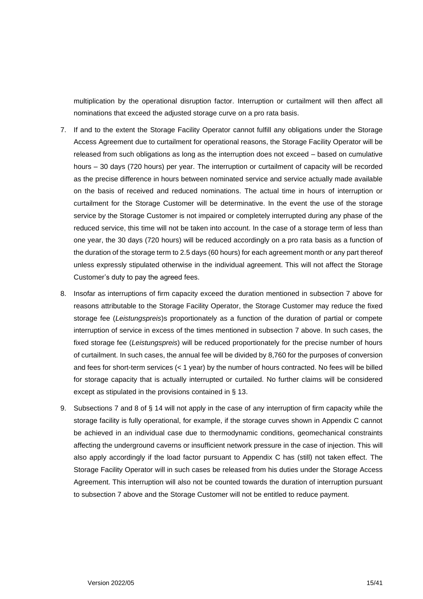multiplication by the operational disruption factor. Interruption or curtailment will then affect all nominations that exceed the adjusted storage curve on a pro rata basis.

- 7. If and to the extent the Storage Facility Operator cannot fulfill any obligations under the Storage Access Agreement due to curtailment for operational reasons, the Storage Facility Operator will be released from such obligations as long as the interruption does not exceed – based on cumulative hours – 30 days (720 hours) per year. The interruption or curtailment of capacity will be recorded as the precise difference in hours between nominated service and service actually made available on the basis of received and reduced nominations. The actual time in hours of interruption or curtailment for the Storage Customer will be determinative. In the event the use of the storage service by the Storage Customer is not impaired or completely interrupted during any phase of the reduced service, this time will not be taken into account. In the case of a storage term of less than one year, the 30 days (720 hours) will be reduced accordingly on a pro rata basis as a function of the duration of the storage term to 2.5 days (60 hours) for each agreement month or any part thereof unless expressly stipulated otherwise in the individual agreement. This will not affect the Storage Customer's duty to pay the agreed fees.
- 8. Insofar as interruptions of firm capacity exceed the duration mentioned in subsection 7 above for reasons attributable to the Storage Facility Operator, the Storage Customer may reduce the fixed storage fee (*Leistungspreis*)s proportionately as a function of the duration of partial or compete interruption of service in excess of the times mentioned in subsection 7 above. In such cases, the fixed storage fee (*Leistungspreis*) will be reduced proportionately for the precise number of hours of curtailment. In such cases, the annual fee will be divided by 8,760 for the purposes of conversion and fees for short-term services (< 1 year) by the number of hours contracted. No fees will be billed for storage capacity that is actually interrupted or curtailed. No further claims will be considered except as stipulated in the provisions contained in § 13.
- <span id="page-14-0"></span>9. Subsections 7 and 8 of § 14 will not apply in the case of any interruption of firm capacity while the storage facility is fully operational, for example, if the storage curves shown in Appendix C cannot be achieved in an individual case due to thermodynamic conditions, geomechanical constraints affecting the underground caverns or insufficient network pressure in the case of injection. This will also apply accordingly if the load factor pursuant to Appendix C has (still) not taken effect. The Storage Facility Operator will in such cases be released from his duties under the Storage Access Agreement. This interruption will also not be counted towards the duration of interruption pursuant to subsection 7 above and the Storage Customer will not be entitled to reduce payment.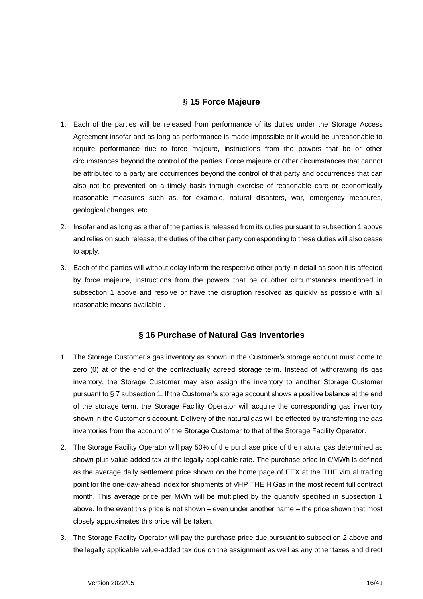### **§ 15 Force Majeure**

- 1. Each of the parties will be released from performance of its duties under the Storage Access Agreement insofar and as long as performance is made impossible or it would be unreasonable to require performance due to force majeure, instructions from the powers that be or other circumstances beyond the control of the parties. Force majeure or other circumstances that cannot be attributed to a party are occurrences beyond the control of that party and occurrences that can also not be prevented on a timely basis through exercise of reasonable care or economically reasonable measures such as, for example, natural disasters, war, emergency measures, geological changes, etc.
- 2. Insofar and as long as either of the parties is released from its duties pursuant to subsection 1 above and relies on such release, the duties of the other party corresponding to these duties will also cease to apply.
- 3. Each of the parties will without delay inform the respective other party in detail as soon it is affected by force majeure, instructions from the powers that be or other circumstances mentioned in subsection 1 above and resolve or have the disruption resolved as quickly as possible with all reasonable means available .

#### **§ 16 Purchase of Natural Gas Inventories**

- <span id="page-15-0"></span>1. The Storage Customer's gas inventory as shown in the Customer's storage account must come to zero (0) at of the end of the contractually agreed storage term. Instead of withdrawing its gas inventory, the Storage Customer may also assign the inventory to another Storage Customer pursuant to § 7 subsection 1. If the Customer's storage account shows a positive balance at the end of the storage term, the Storage Facility Operator will acquire the corresponding gas inventory shown in the Customer's account. Delivery of the natural gas will be effected by transferring the gas inventories from the account of the Storage Customer to that of the Storage Facility Operator.
- 2. The Storage Facility Operator will pay 50% of the purchase price of the natural gas determined as shown plus value-added tax at the legally applicable rate. The purchase price in €/MWh is defined as the average daily settlement price shown on the home page of EEX at the THE virtual trading point for the one-day-ahead index for shipments of VHP THE H Gas in the most recent full contract month. This average price per MWh will be multiplied by the quantity specified in subsection 1 above. In the event this price is not shown – even under another name – the price shown that most closely approximates this price will be taken.
- 3. The Storage Facility Operator will pay the purchase price due pursuant to subsection 2 above and the legally applicable value-added tax due on the assignment as well as any other taxes and direct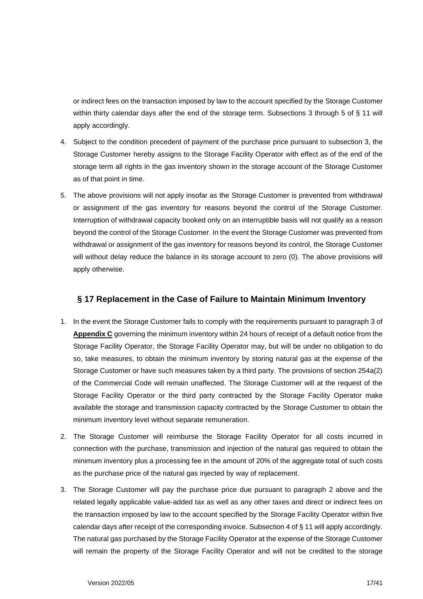or indirect fees on the transaction imposed by law to the account specified by the Storage Customer within thirty calendar days after the end of the storage term. Subsections 3 through 5 of § 11 will apply accordingly.

- 4. Subject to the condition precedent of payment of the purchase price pursuant to subsection 3, the Storage Customer hereby assigns to the Storage Facility Operator with effect as of the end of the storage term all rights in the gas inventory shown in the storage account of the Storage Customer as of that point in time.
- 5. The above provisions will not apply insofar as the Storage Customer is prevented from withdrawal or assignment of the gas inventory for reasons beyond the control of the Storage Customer. Interruption of withdrawal capacity booked only on an interruptible basis will not qualify as a reason beyond the control of the Storage Customer. In the event the Storage Customer was prevented from withdrawal or assignment of the gas inventory for reasons beyond its control, the Storage Customer will without delay reduce the balance in its storage account to zero (0). The above provisions will apply otherwise.

### <span id="page-16-0"></span>**§ 17 Replacement in the Case of Failure to Maintain Minimum Inventory**

- 1. In the event the Storage Customer fails to comply with the requirements pursuant to paragraph 3 of **Appendix C** governing the minimum inventory within 24 hours of receipt of a default notice from the Storage Facility Operator, the Storage Facility Operator may, but will be under no obligation to do so, take measures, to obtain the minimum inventory by storing natural gas at the expense of the Storage Customer or have such measures taken by a third party. The provisions of section 254a(2) of the Commercial Code will remain unaffected. The Storage Customer will at the request of the Storage Facility Operator or the third party contracted by the Storage Facility Operator make available the storage and transmission capacity contracted by the Storage Customer to obtain the minimum inventory level without separate remuneration.
- 2. The Storage Customer will reimburse the Storage Facility Operator for all costs incurred in connection with the purchase, transmission and injection of the natural gas required to obtain the minimum inventory plus a processing fee in the amount of 20% of the aggregate total of such costs as the purchase price of the natural gas injected by way of replacement.
- 3. The Storage Customer will pay the purchase price due pursuant to paragraph 2 above and the related legally applicable value-added tax as well as any other taxes and direct or indirect fees on the transaction imposed by law to the account specified by the Storage Facility Operator within five calendar days after receipt of the corresponding invoice. Subsection 4 of § 11 will apply accordingly. The natural gas purchased by the Storage Facility Operator at the expense of the Storage Customer will remain the property of the Storage Facility Operator and will not be credited to the storage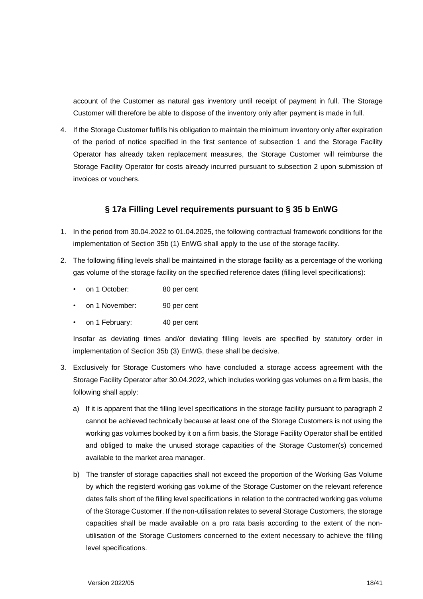account of the Customer as natural gas inventory until receipt of payment in full. The Storage Customer will therefore be able to dispose of the inventory only after payment is made in full.

4. If the Storage Customer fulfills his obligation to maintain the minimum inventory only after expiration of the period of notice specified in the first sentence of subsection 1 and the Storage Facility Operator has already taken replacement measures, the Storage Customer will reimburse the Storage Facility Operator for costs already incurred pursuant to subsection 2 upon submission of invoices or vouchers.

#### **§ 17a Filling Level requirements pursuant to § 35 b EnWG**

- 1. In the period from 30.04.2022 to 01.04.2025, the following contractual framework conditions for the implementation of Section 35b (1) EnWG shall apply to the use of the storage facility.
- 2. The following filling levels shall be maintained in the storage facility as a percentage of the working gas volume of the storage facility on the specified reference dates (filling level specifications):
	- on 1 October: 80 per cent
	- on 1 November: 90 per cent
	- on 1 February: 40 per cent

Insofar as deviating times and/or deviating filling levels are specified by statutory order in implementation of Section 35b (3) EnWG, these shall be decisive.

- 3. Exclusively for Storage Customers who have concluded a storage access agreement with the Storage Facility Operator after 30.04.2022, which includes working gas volumes on a firm basis, the following shall apply:
	- a) If it is apparent that the filling level specifications in the storage facility pursuant to paragraph 2 cannot be achieved technically because at least one of the Storage Customers is not using the working gas volumes booked by it on a firm basis, the Storage Facility Operator shall be entitled and obliged to make the unused storage capacities of the Storage Customer(s) concerned available to the market area manager.
	- b) The transfer of storage capacities shall not exceed the proportion of the Working Gas Volume by which the registerd working gas volume of the Storage Customer on the relevant reference dates falls short of the filling level specifications in relation to the contracted working gas volume of the Storage Customer. If the non-utilisation relates to several Storage Customers, the storage capacities shall be made available on a pro rata basis according to the extent of the nonutilisation of the Storage Customers concerned to the extent necessary to achieve the filling level specifications.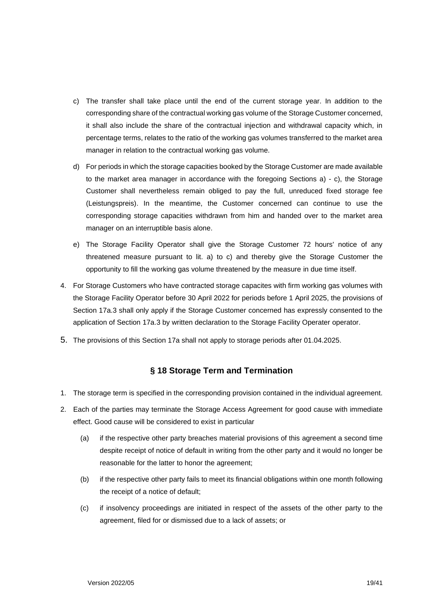- c) The transfer shall take place until the end of the current storage year. In addition to the corresponding share of the contractual working gas volume of the Storage Customer concerned, it shall also include the share of the contractual injection and withdrawal capacity which, in percentage terms, relates to the ratio of the working gas volumes transferred to the market area manager in relation to the contractual working gas volume.
- d) For periods in which the storage capacities booked by the Storage Customer are made available to the market area manager in accordance with the foregoing Sections a) - c), the Storage Customer shall nevertheless remain obliged to pay the full, unreduced fixed storage fee (Leistungspreis). In the meantime, the Customer concerned can continue to use the corresponding storage capacities withdrawn from him and handed over to the market area manager on an interruptible basis alone.
- e) The Storage Facility Operator shall give the Storage Customer 72 hours' notice of any threatened measure pursuant to lit. a) to c) and thereby give the Storage Customer the opportunity to fill the working gas volume threatened by the measure in due time itself.
- 4. For Storage Customers who have contracted storage capacites with firm working gas volumes with the Storage Facility Operator before 30 April 2022 for periods before 1 April 2025, the provisions of Section 17a.3 shall only apply if the Storage Customer concerned has expressly consented to the application of Section 17a.3 by written declaration to the Storage Facility Operater operator.
- <span id="page-18-0"></span>5. The provisions of this Section 17a shall not apply to storage periods after 01.04.2025.

## **§ 18 Storage Term and Termination**

- 1. The storage term is specified in the corresponding provision contained in the individual agreement.
- 2. Each of the parties may terminate the Storage Access Agreement for good cause with immediate effect. Good cause will be considered to exist in particular
	- (a) if the respective other party breaches material provisions of this agreement a second time despite receipt of notice of default in writing from the other party and it would no longer be reasonable for the latter to honor the agreement;
	- (b) if the respective other party fails to meet its financial obligations within one month following the receipt of a notice of default;
	- (c) if insolvency proceedings are initiated in respect of the assets of the other party to the agreement, filed for or dismissed due to a lack of assets; or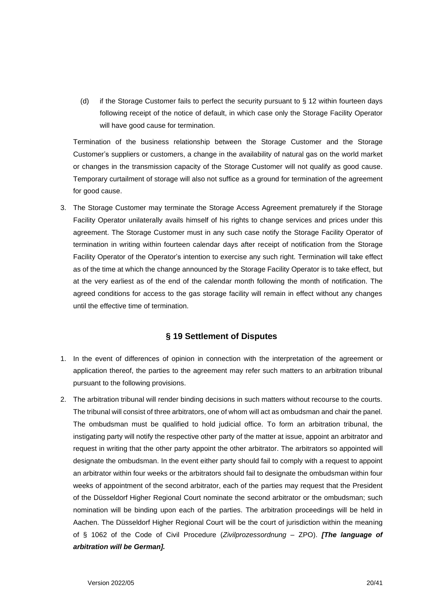(d) if the Storage Customer fails to perfect the security pursuant to § 12 within fourteen days following receipt of the notice of default, in which case only the Storage Facility Operator will have good cause for termination.

Termination of the business relationship between the Storage Customer and the Storage Customer's suppliers or customers, a change in the availability of natural gas on the world market or changes in the transmission capacity of the Storage Customer will not qualify as good cause. Temporary curtailment of storage will also not suffice as a ground for termination of the agreement for good cause.

3. The Storage Customer may terminate the Storage Access Agreement prematurely if the Storage Facility Operator unilaterally avails himself of his rights to change services and prices under this agreement. The Storage Customer must in any such case notify the Storage Facility Operator of termination in writing within fourteen calendar days after receipt of notification from the Storage Facility Operator of the Operator's intention to exercise any such right. Termination will take effect as of the time at which the change announced by the Storage Facility Operator is to take effect, but at the very earliest as of the end of the calendar month following the month of notification. The agreed conditions for access to the gas storage facility will remain in effect without any changes until the effective time of termination.

#### **§ 19 Settlement of Disputes**

- <span id="page-19-0"></span>1. In the event of differences of opinion in connection with the interpretation of the agreement or application thereof, the parties to the agreement may refer such matters to an arbitration tribunal pursuant to the following provisions.
- 2. The arbitration tribunal will render binding decisions in such matters without recourse to the courts. The tribunal will consist of three arbitrators, one of whom will act as ombudsman and chair the panel. The ombudsman must be qualified to hold judicial office. To form an arbitration tribunal, the instigating party will notify the respective other party of the matter at issue, appoint an arbitrator and request in writing that the other party appoint the other arbitrator. The arbitrators so appointed will designate the ombudsman. In the event either party should fail to comply with a request to appoint an arbitrator within four weeks or the arbitrators should fail to designate the ombudsman within four weeks of appointment of the second arbitrator, each of the parties may request that the President of the Düsseldorf Higher Regional Court nominate the second arbitrator or the ombudsman; such nomination will be binding upon each of the parties. The arbitration proceedings will be held in Aachen. The Düsseldorf Higher Regional Court will be the court of jurisdiction within the meaning of § 1062 of the Code of Civil Procedure (*Zivilprozessordnung* – ZPO). *[The language of arbitration will be German].*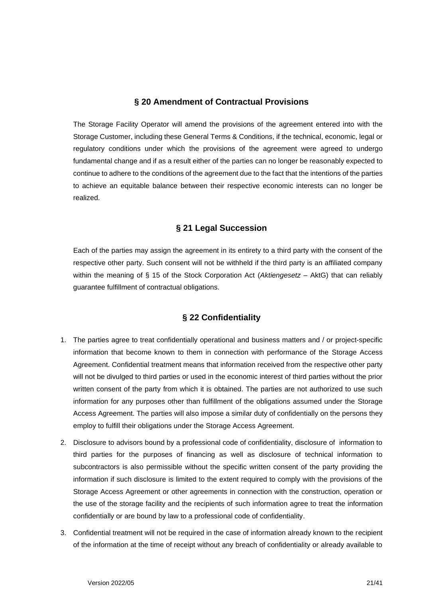#### **§ 20 Amendment of Contractual Provisions**

<span id="page-20-0"></span>The Storage Facility Operator will amend the provisions of the agreement entered into with the Storage Customer, including these General Terms & Conditions, if the technical, economic, legal or regulatory conditions under which the provisions of the agreement were agreed to undergo fundamental change and if as a result either of the parties can no longer be reasonably expected to continue to adhere to the conditions of the agreement due to the fact that the intentions of the parties to achieve an equitable balance between their respective economic interests can no longer be realized.

#### **§ 21 Legal Succession**

<span id="page-20-1"></span>Each of the parties may assign the agreement in its entirety to a third party with the consent of the respective other party. Such consent will not be withheld if the third party is an affiliated company within the meaning of § 15 of the Stock Corporation Act (*Aktiengesetz* – AktG) that can reliably guarantee fulfillment of contractual obligations.

#### **§ 22 Confidentiality**

- <span id="page-20-2"></span>1. The parties agree to treat confidentially operational and business matters and / or project-specific information that become known to them in connection with performance of the Storage Access Agreement. Confidential treatment means that information received from the respective other party will not be divulged to third parties or used in the economic interest of third parties without the prior written consent of the party from which it is obtained. The parties are not authorized to use such information for any purposes other than fulfillment of the obligations assumed under the Storage Access Agreement. The parties will also impose a similar duty of confidentially on the persons they employ to fulfill their obligations under the Storage Access Agreement.
- 2. Disclosure to advisors bound by a professional code of confidentiality, disclosure of information to third parties for the purposes of financing as well as disclosure of technical information to subcontractors is also permissible without the specific written consent of the party providing the information if such disclosure is limited to the extent required to comply with the provisions of the Storage Access Agreement or other agreements in connection with the construction, operation or the use of the storage facility and the recipients of such information agree to treat the information confidentially or are bound by law to a professional code of confidentiality.
- 3. Confidential treatment will not be required in the case of information already known to the recipient of the information at the time of receipt without any breach of confidentiality or already available to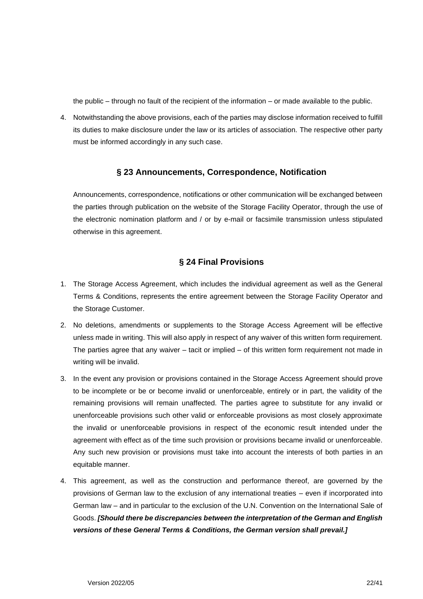the public – through no fault of the recipient of the information – or made available to the public.

4. Notwithstanding the above provisions, each of the parties may disclose information received to fulfill its duties to make disclosure under the law or its articles of association. The respective other party must be informed accordingly in any such case.

#### **§ 23 Announcements, Correspondence, Notification**

<span id="page-21-0"></span>Announcements, correspondence, notifications or other communication will be exchanged between the parties through publication on the website of the Storage Facility Operator, through the use of the electronic nomination platform and / or by e-mail or facsimile transmission unless stipulated otherwise in this agreement.

#### **§ 24 Final Provisions**

- <span id="page-21-1"></span>1. The Storage Access Agreement, which includes the individual agreement as well as the General Terms & Conditions, represents the entire agreement between the Storage Facility Operator and the Storage Customer.
- 2. No deletions, amendments or supplements to the Storage Access Agreement will be effective unless made in writing. This will also apply in respect of any waiver of this written form requirement. The parties agree that any waiver  $-$  tacit or implied  $-$  of this written form requirement not made in writing will be invalid.
- 3. In the event any provision or provisions contained in the Storage Access Agreement should prove to be incomplete or be or become invalid or unenforceable, entirely or in part, the validity of the remaining provisions will remain unaffected. The parties agree to substitute for any invalid or unenforceable provisions such other valid or enforceable provisions as most closely approximate the invalid or unenforceable provisions in respect of the economic result intended under the agreement with effect as of the time such provision or provisions became invalid or unenforceable. Any such new provision or provisions must take into account the interests of both parties in an equitable manner.
- 4. This agreement, as well as the construction and performance thereof, are governed by the provisions of German law to the exclusion of any international treaties – even if incorporated into German law – and in particular to the exclusion of the U.N. Convention on the International Sale of Goods. *[Should there be discrepancies between the interpretation of the German and English versions of these General Terms & Conditions, the German version shall prevail.]*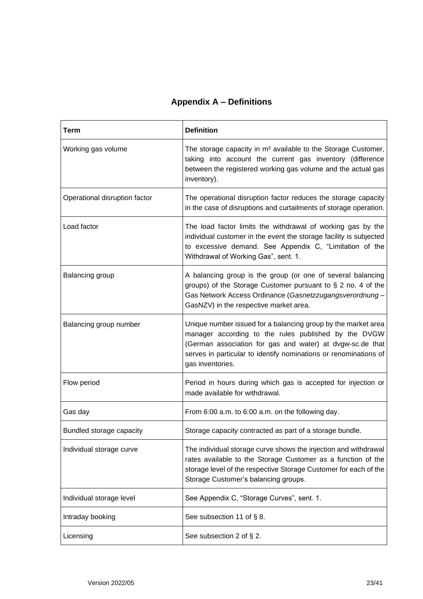## **Appendix A – Definitions**

<span id="page-22-0"></span>

| Term                          | <b>Definition</b>                                                                                                                                                                                                                                                          |
|-------------------------------|----------------------------------------------------------------------------------------------------------------------------------------------------------------------------------------------------------------------------------------------------------------------------|
| Working gas volume            | The storage capacity in m <sup>3</sup> available to the Storage Customer,<br>taking into account the current gas inventory (difference<br>between the registered working gas volume and the actual gas<br>inventory).                                                      |
| Operational disruption factor | The operational disruption factor reduces the storage capacity<br>in the case of disruptions and curtailments of storage operation.                                                                                                                                        |
| Load factor                   | The load factor limits the withdrawal of working gas by the<br>individual customer in the event the storage facility is subjected<br>to excessive demand. See Appendix C, "Limitation of the<br>Withdrawal of Working Gas", sent. 1.                                       |
| Balancing group               | A balancing group is the group (or one of several balancing<br>groups) of the Storage Customer pursuant to $\S 2$ no. 4 of the<br>Gas Network Access Ordinance (Gasnetzzugangsverordnung -<br>GasNZV) in the respective market area.                                       |
| Balancing group number        | Unique number issued for a balancing group by the market area<br>manager according to the rules published by the DVGW<br>(German association for gas and water) at dvgw-sc.de that<br>serves in particular to identify nominations or renominations of<br>gas inventories. |
| Flow period                   | Period in hours during which gas is accepted for injection or<br>made available for withdrawal.                                                                                                                                                                            |
| Gas day                       | From 6:00 a.m. to 6:00 a.m. on the following day.                                                                                                                                                                                                                          |
| Bundled storage capacity      | Storage capacity contracted as part of a storage bundle.                                                                                                                                                                                                                   |
| Individual storage curve      | The individual storage curve shows the injection and withdrawal<br>rates available to the Storage Customer as a function of the<br>storage level of the respective Storage Customer for each of the<br>Storage Customer's balancing groups.                                |
| Individual storage level      | See Appendix C, "Storage Curves", sent. 1.                                                                                                                                                                                                                                 |
| Intraday booking              | See subsection 11 of § 8.                                                                                                                                                                                                                                                  |
| Licensing                     | See subsection 2 of § 2.                                                                                                                                                                                                                                                   |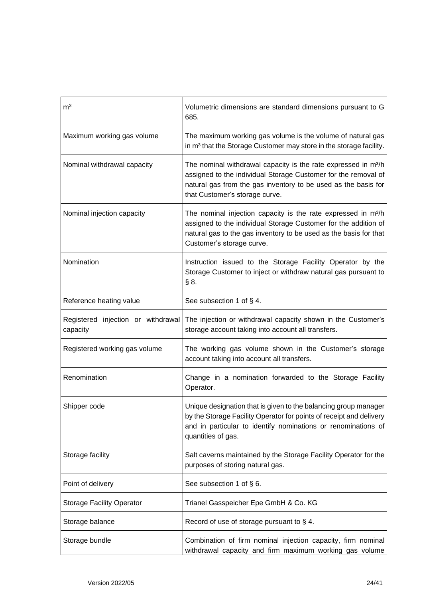| m <sup>3</sup>                                 | Volumetric dimensions are standard dimensions pursuant to G<br>685.                                                                                                                                                                              |
|------------------------------------------------|--------------------------------------------------------------------------------------------------------------------------------------------------------------------------------------------------------------------------------------------------|
| Maximum working gas volume                     | The maximum working gas volume is the volume of natural gas<br>in m <sup>3</sup> that the Storage Customer may store in the storage facility.                                                                                                    |
| Nominal withdrawal capacity                    | The nominal withdrawal capacity is the rate expressed in m <sup>3</sup> /h<br>assigned to the individual Storage Customer for the removal of<br>natural gas from the gas inventory to be used as the basis for<br>that Customer's storage curve. |
| Nominal injection capacity                     | The nominal injection capacity is the rate expressed in m <sup>3</sup> /h<br>assigned to the individual Storage Customer for the addition of<br>natural gas to the gas inventory to be used as the basis for that<br>Customer's storage curve.   |
| Nomination                                     | Instruction issued to the Storage Facility Operator by the<br>Storage Customer to inject or withdraw natural gas pursuant to<br>§ 8.                                                                                                             |
| Reference heating value                        | See subsection 1 of § 4.                                                                                                                                                                                                                         |
| Registered injection or withdrawal<br>capacity | The injection or withdrawal capacity shown in the Customer's<br>storage account taking into account all transfers.                                                                                                                               |
| Registered working gas volume                  | The working gas volume shown in the Customer's storage<br>account taking into account all transfers.                                                                                                                                             |
| Renomination                                   | Change in a nomination forwarded to the Storage Facility<br>Operator.                                                                                                                                                                            |
| Shipper code                                   | Unique designation that is given to the balancing group manager<br>by the Storage Facility Operator for points of receipt and delivery<br>and in particular to identify nominations or renominations of<br>quantities of gas.                    |
| Storage facility                               | Salt caverns maintained by the Storage Facility Operator for the<br>purposes of storing natural gas.                                                                                                                                             |
| Point of delivery                              | See subsection 1 of § 6.                                                                                                                                                                                                                         |
| <b>Storage Facility Operator</b>               | Trianel Gasspeicher Epe GmbH & Co. KG                                                                                                                                                                                                            |
| Storage balance                                | Record of use of storage pursuant to $\S$ 4.                                                                                                                                                                                                     |
| Storage bundle                                 | Combination of firm nominal injection capacity, firm nominal<br>withdrawal capacity and firm maximum working gas volume                                                                                                                          |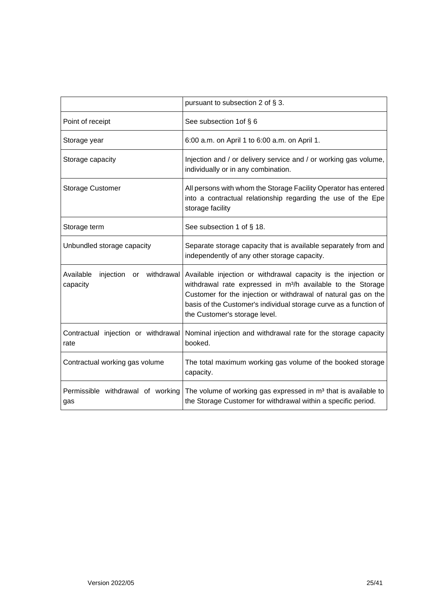|                                                     | pursuant to subsection 2 of § 3.                                                                                                                                                                                                                                                                                  |
|-----------------------------------------------------|-------------------------------------------------------------------------------------------------------------------------------------------------------------------------------------------------------------------------------------------------------------------------------------------------------------------|
| Point of receipt                                    | See subsection 1 of § 6                                                                                                                                                                                                                                                                                           |
| Storage year                                        | 6:00 a.m. on April 1 to 6:00 a.m. on April 1.                                                                                                                                                                                                                                                                     |
| Storage capacity                                    | Injection and / or delivery service and / or working gas volume,<br>individually or in any combination.                                                                                                                                                                                                           |
| <b>Storage Customer</b>                             | All persons with whom the Storage Facility Operator has entered<br>into a contractual relationship regarding the use of the Epe<br>storage facility                                                                                                                                                               |
| Storage term                                        | See subsection 1 of § 18.                                                                                                                                                                                                                                                                                         |
| Unbundled storage capacity                          | Separate storage capacity that is available separately from and<br>independently of any other storage capacity.                                                                                                                                                                                                   |
| Available<br>or withdrawal<br>injection<br>capacity | Available injection or withdrawal capacity is the injection or<br>withdrawal rate expressed in m <sup>3</sup> /h available to the Storage<br>Customer for the injection or withdrawal of natural gas on the<br>basis of the Customer's individual storage curve as a function of<br>the Customer's storage level. |
| Contractual injection or withdrawal<br>rate         | Nominal injection and withdrawal rate for the storage capacity<br>booked.                                                                                                                                                                                                                                         |
| Contractual working gas volume                      | The total maximum working gas volume of the booked storage<br>capacity.                                                                                                                                                                                                                                           |
| Permissible withdrawal of working<br>gas            | The volume of working gas expressed in m <sup>3</sup> that is available to<br>the Storage Customer for withdrawal within a specific period.                                                                                                                                                                       |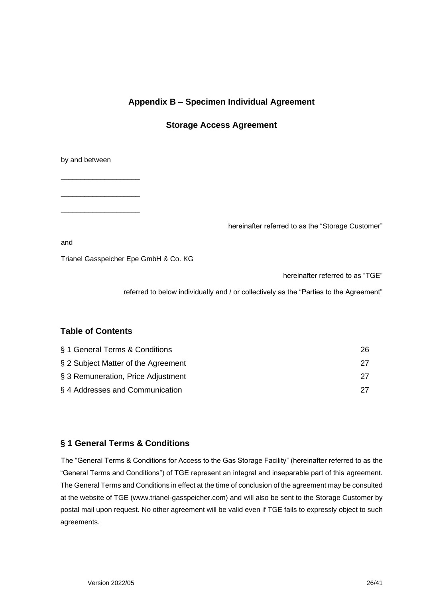## **Appendix B – Specimen Individual Agreement**

#### **Storage Access Agreement**

<span id="page-25-0"></span>by and between

\_\_\_\_\_\_\_\_\_\_\_\_\_\_\_\_\_\_\_\_

\_\_\_\_\_\_\_\_\_\_\_\_\_\_\_\_\_\_\_\_

\_\_\_\_\_\_\_\_\_\_\_\_\_\_\_\_\_\_\_\_

hereinafter referred to as the "Storage Customer"

and

Trianel Gasspeicher Epe GmbH & Co. KG

hereinafter referred to as "TGE"

referred to below individually and / or collectively as the "Parties to the Agreement"

#### **Table of Contents**

| § 1 General Terms & Conditions      | 26 |
|-------------------------------------|----|
| § 2 Subject Matter of the Agreement |    |
| § 3 Remuneration, Price Adjustment  |    |
| §4 Addresses and Communication      |    |

#### **§ 1 General Terms & Conditions**

The "General Terms & Conditions for Access to the Gas Storage Facility" (hereinafter referred to as the "General Terms and Conditions") of TGE represent an integral and inseparable part of this agreement. The General Terms and Conditions in effect at the time of conclusion of the agreement may be consulted at the website of TGE (www.trianel-gasspeicher.com) and will also be sent to the Storage Customer by postal mail upon request. No other agreement will be valid even if TGE fails to expressly object to such agreements.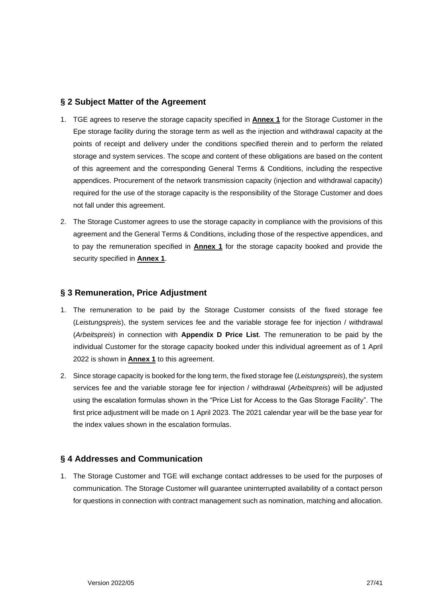#### **§ 2 Subject Matter of the Agreement**

- 1. TGE agrees to reserve the storage capacity specified in **Annex 1** for the Storage Customer in the Epe storage facility during the storage term as well as the injection and withdrawal capacity at the points of receipt and delivery under the conditions specified therein and to perform the related storage and system services. The scope and content of these obligations are based on the content of this agreement and the corresponding General Terms & Conditions, including the respective appendices. Procurement of the network transmission capacity (injection and withdrawal capacity) required for the use of the storage capacity is the responsibility of the Storage Customer and does not fall under this agreement.
- 2. The Storage Customer agrees to use the storage capacity in compliance with the provisions of this agreement and the General Terms & Conditions, including those of the respective appendices, and to pay the remuneration specified in **Annex 1** for the storage capacity booked and provide the security specified in **Annex 1**.

#### **§ 3 Remuneration, Price Adjustment**

- 1. The remuneration to be paid by the Storage Customer consists of the fixed storage fee (*Leistungspreis*), the system services fee and the variable storage fee for injection / withdrawal (*Arbeitspreis*) in connection with **Appendix D Price List**. The remuneration to be paid by the individual Customer for the storage capacity booked under this individual agreement as of 1 April 2022 is shown in **Annex 1** to this agreement.
- 2. Since storage capacity is booked for the long term, the fixed storage fee (*Leistungspreis*), the system services fee and the variable storage fee for injection / withdrawal (*Arbeitspreis*) will be adjusted using the escalation formulas shown in the "Price List for Access to the Gas Storage Facility". The first price adjustment will be made on 1 April 2023. The 2021 calendar year will be the base year for the index values shown in the escalation formulas.

#### **§ 4 Addresses and Communication**

1. The Storage Customer and TGE will exchange contact addresses to be used for the purposes of communication. The Storage Customer will guarantee uninterrupted availability of a contact person for questions in connection with contract management such as nomination, matching and allocation.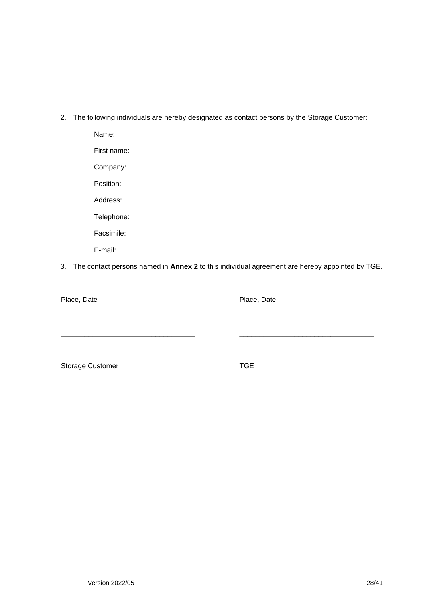2. The following individuals are hereby designated as contact persons by the Storage Customer:

Name: First name: Company: Position: Address: Telephone: Facsimile:

E-mail:

3. The contact persons named in **Annex 2** to this individual agreement are hereby appointed by TGE.

\_\_\_\_\_\_\_\_\_\_\_\_\_\_\_\_\_\_\_\_\_\_\_\_\_\_\_\_\_\_\_\_\_\_ \_\_\_\_\_\_\_\_\_\_\_\_\_\_\_\_\_\_\_\_\_\_\_\_\_\_\_\_\_\_\_\_\_\_

Place, Date **Place**, Date

Storage Customer TGE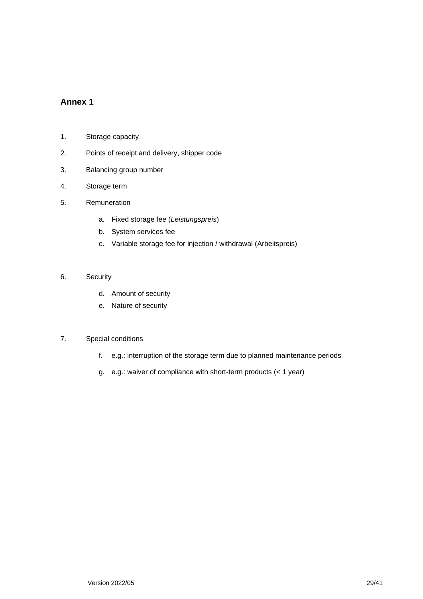#### **Annex 1**

- 1. Storage capacity
- 2. Points of receipt and delivery, shipper code
- 3. Balancing group number
- 4. Storage term
- 5. Remuneration
	- a. Fixed storage fee (*Leistungspreis*)
	- b. System services fee
	- c. Variable storage fee for injection / withdrawal (Arbeitspreis)
- 6. Security
	- d. Amount of security
	- e. Nature of security

#### 7. Special conditions

- f. e.g.: interruption of the storage term due to planned maintenance periods
- g. e.g.: waiver of compliance with short-term products (< 1 year)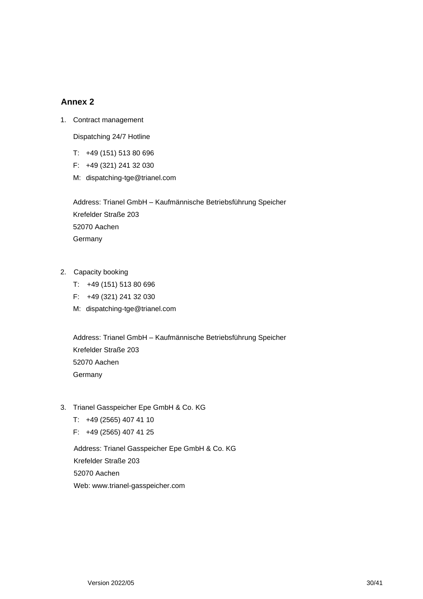#### **Annex 2**

1. Contract management

Dispatching 24/7 Hotline

- T: +49 (151) 513 80 696
- F: +49 (321) 241 32 030
- M: dispatching-tge@trianel.com

Address: Trianel GmbH – Kaufmännische Betriebsführung Speicher Krefelder Straße 203 52070 Aachen **Germany** 

- 2. Capacity booking
	- T: +49 (151) 513 80 696
	- F: +49 (321) 241 32 030
	- M: dispatching-tge@trianel.com

Address: Trianel GmbH – Kaufmännische Betriebsführung Speicher Krefelder Straße 203 52070 Aachen **Germany** 

- 3. Trianel Gasspeicher Epe GmbH & Co. KG
	- T: +49 (2565) 407 41 10
	- F: +49 (2565) 407 41 25

Address: Trianel Gasspeicher Epe GmbH & Co. KG Krefelder Straße 203 52070 Aachen Web: www.trianel-gasspeicher.com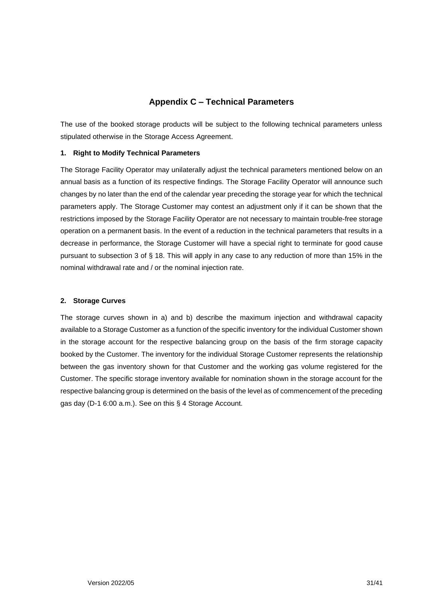#### **Appendix C – Technical Parameters**

<span id="page-30-0"></span>The use of the booked storage products will be subject to the following technical parameters unless stipulated otherwise in the Storage Access Agreement.

#### **1. Right to Modify Technical Parameters**

The Storage Facility Operator may unilaterally adjust the technical parameters mentioned below on an annual basis as a function of its respective findings. The Storage Facility Operator will announce such changes by no later than the end of the calendar year preceding the storage year for which the technical parameters apply. The Storage Customer may contest an adjustment only if it can be shown that the restrictions imposed by the Storage Facility Operator are not necessary to maintain trouble-free storage operation on a permanent basis. In the event of a reduction in the technical parameters that results in a decrease in performance, the Storage Customer will have a special right to terminate for good cause pursuant to subsection 3 of § 18. This will apply in any case to any reduction of more than 15% in the nominal withdrawal rate and / or the nominal injection rate.

#### **2. Storage Curves**

The storage curves shown in a) and b) describe the maximum injection and withdrawal capacity available to a Storage Customer as a function of the specific inventory for the individual Customer shown in the storage account for the respective balancing group on the basis of the firm storage capacity booked by the Customer. The inventory for the individual Storage Customer represents the relationship between the gas inventory shown for that Customer and the working gas volume registered for the Customer. The specific storage inventory available for nomination shown in the storage account for the respective balancing group is determined on the basis of the level as of commencement of the preceding gas day (D-1 6:00 a.m.). See on this § 4 Storage Account.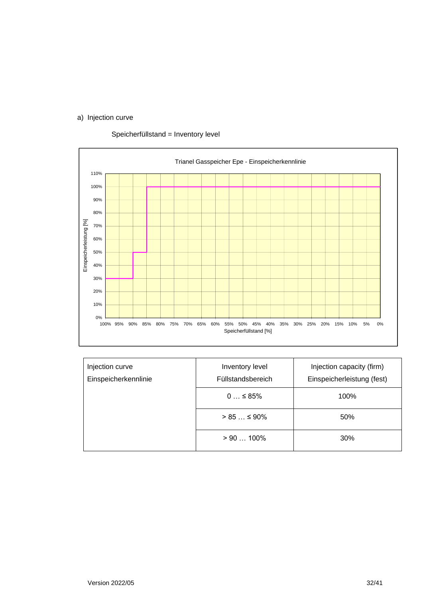### a) Injection curve





| Injection curve<br>Einspeicherkennlinie | Injection capacity (firm)<br>Inventory level<br>Einspeicherleistung (fest)<br>Füllstandsbereich |      |
|-----------------------------------------|-------------------------------------------------------------------------------------------------|------|
|                                         | $0 \leq 85\%$                                                                                   | 100% |
|                                         | $> 85 \le 90\%$                                                                                 | 50%  |
|                                         | $>90100\%$                                                                                      | 30%  |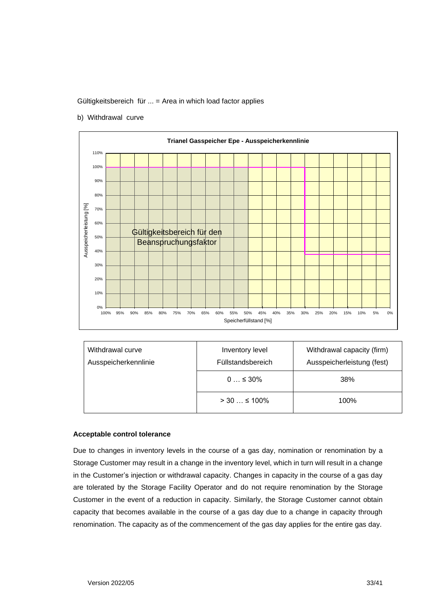Gültigkeitsbereich für ... = Area in which load factor applies

b) Withdrawal curve



| Withdrawal curve<br>Ausspeicherkennlinie | Inventory level<br>Füllstandsbereich | Withdrawal capacity (firm)<br>Ausspeicherleistung (fest) |
|------------------------------------------|--------------------------------------|----------------------------------------------------------|
|                                          | $0 \leq 30\%$                        | 38%                                                      |
|                                          | $> 30$ $\leq 100\%$                  | 100%                                                     |

#### **Acceptable control tolerance**

Due to changes in inventory levels in the course of a gas day, nomination or renomination by a Storage Customer may result in a change in the inventory level, which in turn will result in a change in the Customer's injection or withdrawal capacity. Changes in capacity in the course of a gas day are tolerated by the Storage Facility Operator and do not require renomination by the Storage Customer in the event of a reduction in capacity. Similarly, the Storage Customer cannot obtain capacity that becomes available in the course of a gas day due to a change in capacity through renomination. The capacity as of the commencement of the gas day applies for the entire gas day.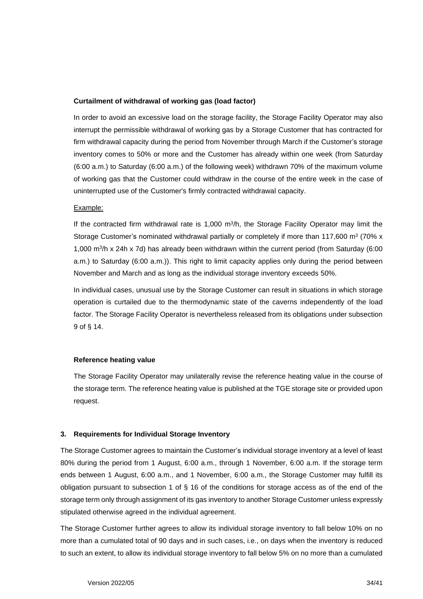#### **Curtailment of withdrawal of working gas (load factor)**

In order to avoid an excessive load on the storage facility, the Storage Facility Operator may also interrupt the permissible withdrawal of working gas by a Storage Customer that has contracted for firm withdrawal capacity during the period from November through March if the Customer's storage inventory comes to 50% or more and the Customer has already within one week (from Saturday (6:00 a.m.) to Saturday (6:00 a.m.) of the following week) withdrawn 70% of the maximum volume of working gas that the Customer could withdraw in the course of the entire week in the case of uninterrupted use of the Customer's firmly contracted withdrawal capacity.

#### Example:

If the contracted firm withdrawal rate is 1,000 m<sup>3</sup>/h, the Storage Facility Operator may limit the Storage Customer's nominated withdrawal partially or completely if more than 117,600 m<sup>3</sup> (70% x 1,000 m<sup>3</sup>/h x 24h x 7d) has already been withdrawn within the current period (from Saturday (6:00 a.m.) to Saturday (6:00 a.m.)). This right to limit capacity applies only during the period between November and March and as long as the individual storage inventory exceeds 50%.

In individual cases, unusual use by the Storage Customer can result in situations in which storage operation is curtailed due to the thermodynamic state of the caverns independently of the load factor. The Storage Facility Operator is nevertheless released from its obligations under subsection 9 of § 14.

#### **Reference heating value**

The Storage Facility Operator may unilaterally revise the reference heating value in the course of the storage term. The reference heating value is published at the TGE storage site or provided upon request.

#### **3. Requirements for Individual Storage Inventory**

The Storage Customer agrees to maintain the Customer's individual storage inventory at a level of least 80% during the period from 1 August, 6:00 a.m., through 1 November, 6:00 a.m. If the storage term ends between 1 August, 6:00 a.m., and 1 November, 6:00 a.m., the Storage Customer may fulfill its obligation pursuant to subsection 1 of § 16 of the conditions for storage access as of the end of the storage term only through assignment of its gas inventory to another Storage Customer unless expressly stipulated otherwise agreed in the individual agreement.

The Storage Customer further agrees to allow its individual storage inventory to fall below 10% on no more than a cumulated total of 90 days and in such cases, i.e., on days when the inventory is reduced to such an extent, to allow its individual storage inventory to fall below 5% on no more than a cumulated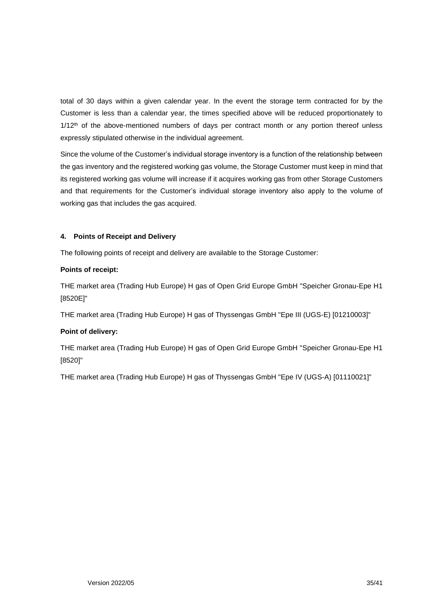total of 30 days within a given calendar year. In the event the storage term contracted for by the Customer is less than a calendar year, the times specified above will be reduced proportionately to  $1/12<sup>th</sup>$  of the above-mentioned numbers of days per contract month or any portion thereof unless expressly stipulated otherwise in the individual agreement.

Since the volume of the Customer's individual storage inventory is a function of the relationship between the gas inventory and the registered working gas volume, the Storage Customer must keep in mind that its registered working gas volume will increase if it acquires working gas from other Storage Customers and that requirements for the Customer's individual storage inventory also apply to the volume of working gas that includes the gas acquired.

#### **4. Points of Receipt and Delivery**

The following points of receipt and delivery are available to the Storage Customer:

#### **Points of receipt:**

THE market area (Trading Hub Europe) H gas of Open Grid Europe GmbH "Speicher Gronau-Epe H1 [8520E]"

THE market area (Trading Hub Europe) H gas of Thyssengas GmbH "Epe III (UGS-E) [01210003]"

#### **Point of delivery:**

THE market area (Trading Hub Europe) H gas of Open Grid Europe GmbH "Speicher Gronau-Epe H1 [8520]"

THE market area (Trading Hub Europe) H gas of Thyssengas GmbH "Epe IV (UGS-A) [01110021]"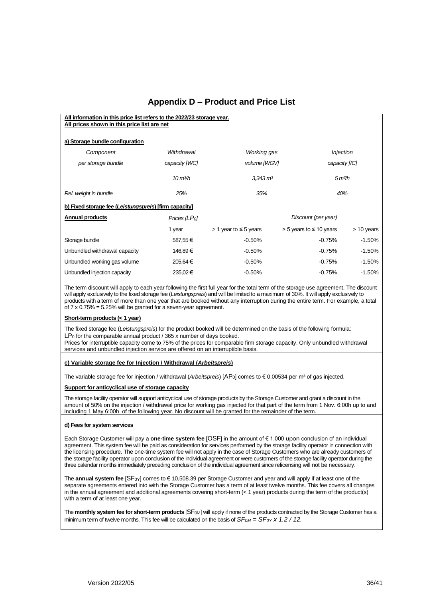### **Appendix D – Product and Price List**

<span id="page-35-0"></span>

| All information in this price list refers to the 2022/23 storage year.<br>All prices shown in this price list are net |                                |                              |                                |                     |
|-----------------------------------------------------------------------------------------------------------------------|--------------------------------|------------------------------|--------------------------------|---------------------|
| a) Storage bundle configuration                                                                                       |                                |                              |                                |                     |
| Component                                                                                                             | Withdrawal                     | Working gas                  |                                | <b>Injection</b>    |
| per storage bundle                                                                                                    | capacity [WC]                  | volume [WGV]                 |                                | capacity [IC]       |
|                                                                                                                       | $10 \text{ m}$ <sup>3</sup> /h | $3.343 \, m3$                |                                | 5 m <sup>3</sup> /h |
| Rel. weight in bundle                                                                                                 | 25%                            | 35%                          |                                | 40%                 |
| b) Fixed storage fee (Leistungspreis) [firm capacity]                                                                 |                                |                              |                                |                     |
| <b>Annual products</b>                                                                                                | Prices $ILPol$                 |                              | Discount (per year)            |                     |
|                                                                                                                       | 1 year                         | $> 1$ year to $\leq 5$ years | $>$ 5 years to $\leq$ 10 years | $> 10$ years        |
| Storage bundle                                                                                                        | 587,55€                        | $-0.50%$                     | $-0.75%$                       | $-1.50%$            |
| Unbundled withdrawal capacity                                                                                         | 146,89€                        | $-0.50%$                     | $-0.75%$                       | $-1.50%$            |
| Unbundled working gas volume                                                                                          | 205,64 €                       | $-0.50%$                     | $-0.75%$                       | $-1.50%$            |
| Unbundled injection capacity                                                                                          | 235,02€                        | $-0.50%$                     | $-0.75%$                       | $-1.50%$            |
|                                                                                                                       | .                              |                              |                                |                     |

The term discount will apply to each year following the first full year for the total term of the storage use agreement. The discount will apply exclusively to the fixed storage fee (*Leistungspreis*) and will be limited to a maximum of 30%. It will apply exclusively to products with a term of more than one year that are booked without any interruption during the entire term. For example, a total of  $7 \times 0.75\% = 5.25\%$  will be granted for a seven-year agreement.

#### **Short-term products (< 1 year)**

The fixed storage fee (*Leistungspreis*) for the product booked will be determined on the basis of the following formula:  $LP<sub>0</sub>$  for the comparable annual product / 365 x number of days booked.

Prices for interruptible capacity come to 75% of the prices for comparable firm storage capacity. Only unbundled withdrawal services and unbundled injection service are offered on an interruptible basis.

#### **c) Variable storage fee for Injection / Withdrawal (***Arbeitspreis***)**

The variable storage fee for injection / withdrawal (*Arbeitspreis*) [AP<sub>0</sub>] comes to € 0.00534 per m<sup>3</sup> of gas injected.

#### **Support for anticyclical use of storage capacity**

The storage facility operator will support anticyclical use of storage products by the Storage Customer and grant a discount in the amount of 50% on the injection / withdrawal price for working gas injected for that part of the term from 1 Nov. 6:00h up to and including 1 May 6:00h of the following year. No discount will be granted for the remainder of the term.

#### **d) Fees for system services**

Each Storage Customer will pay a **one-time system fee** [OSF] in the amount of € 1,000 upon conclusion of an individual agreement. This system fee will be paid as consideration for services performed by the storage facility operator in connection with the licensing procedure. The one-time system fee will not apply in the case of Storage Customers who are already customers of the storage facility operator upon conclusion of the individual agreement or were customers of the storage facility operator during the three calendar months immediately preceding conclusion of the individual agreement since relicensing will not be necessary.

The **annual system fee** [SF0Y] comes to € 10,508.39 per Storage Customer and year and will apply if at least one of the separate agreements entered into with the Storage Customer has a term of at least twelve months. This fee covers all changes in the annual agreement and additional agreements covering short-term (< 1 year) products during the term of the product(s) with a term of at least one year.

The **monthly system fee for short-term products** [SF0M] will apply if none of the products contracted by the Storage Customer has a minimum term of twelve months. This fee will be calculated on the basis of *SF0M = SF0Y x 1.2 / 12.*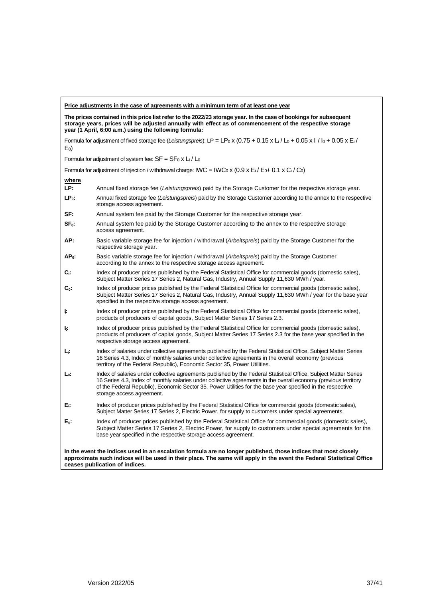| Price adjustments in the case of agreements with a minimum term of at least one year                                                                                                                                                                                                    |                                                                                                                                                                                                                                                                                                                                                                                 |  |  |
|-----------------------------------------------------------------------------------------------------------------------------------------------------------------------------------------------------------------------------------------------------------------------------------------|---------------------------------------------------------------------------------------------------------------------------------------------------------------------------------------------------------------------------------------------------------------------------------------------------------------------------------------------------------------------------------|--|--|
| The prices contained in this price list refer to the 2022/23 storage year. In the case of bookings for subsequent<br>storage years, prices will be adjusted annually with effect as of commencement of the respective storage<br>year (1 April, 6:00 a.m.) using the following formula: |                                                                                                                                                                                                                                                                                                                                                                                 |  |  |
| $E_0$                                                                                                                                                                                                                                                                                   | Formula for adjustment of fixed storage fee (Leistungspreis): LP = LPo x (0.75 + 0.15 x Li / Lo + 0.05 x li / lo + 0.05 x Ei /                                                                                                                                                                                                                                                  |  |  |
|                                                                                                                                                                                                                                                                                         | Formula for adjustment of system fee: $SF = SF_0 \times L_i / L_0$                                                                                                                                                                                                                                                                                                              |  |  |
|                                                                                                                                                                                                                                                                                         | Formula for adjustment of injection / withdrawal charge: IWC = IWC <sub>0</sub> x (0.9 x E <sub>i</sub> / E <sub>0</sub> + 0.1 x C <sub>i</sub> / C <sub>0</sub> )                                                                                                                                                                                                              |  |  |
| where                                                                                                                                                                                                                                                                                   |                                                                                                                                                                                                                                                                                                                                                                                 |  |  |
| LP:                                                                                                                                                                                                                                                                                     | Annual fixed storage fee (Leistungspreis) paid by the Storage Customer for the respective storage year.                                                                                                                                                                                                                                                                         |  |  |
| $LP0$ :                                                                                                                                                                                                                                                                                 | Annual fixed storage fee (Leistungspreis) paid by the Storage Customer according to the annex to the respective<br>storage access agreement.                                                                                                                                                                                                                                    |  |  |
| SF:                                                                                                                                                                                                                                                                                     | Annual system fee paid by the Storage Customer for the respective storage year.                                                                                                                                                                                                                                                                                                 |  |  |
| $SF0$ :                                                                                                                                                                                                                                                                                 | Annual system fee paid by the Storage Customer according to the annex to the respective storage<br>access agreement.                                                                                                                                                                                                                                                            |  |  |
| AP:                                                                                                                                                                                                                                                                                     | Basic variable storage fee for injection / withdrawal (Arbeitspreis) paid by the Storage Customer for the<br>respective storage year.                                                                                                                                                                                                                                           |  |  |
| $AP0$ :                                                                                                                                                                                                                                                                                 | Basic variable storage fee for injection / withdrawal (Arbeitspreis) paid by the Storage Customer<br>according to the annex to the respective storage access agreement.                                                                                                                                                                                                         |  |  |
| C.                                                                                                                                                                                                                                                                                      | Index of producer prices published by the Federal Statistical Office for commercial goods (domestic sales),<br>Subject Matter Series 17 Series 2, Natural Gas, Industry, Annual Supply 11,630 MWh / year.                                                                                                                                                                       |  |  |
| $\mathbf{C_0}$ :                                                                                                                                                                                                                                                                        | Index of producer prices published by the Federal Statistical Office for commercial goods (domestic sales),<br>Subject Matter Series 17 Series 2, Natural Gas, Industry, Annual Supply 11,630 MWh / year for the base year<br>specified in the respective storage access agreement.                                                                                             |  |  |
| ŀ.                                                                                                                                                                                                                                                                                      | Index of producer prices published by the Federal Statistical Office for commercial goods (domestic sales),<br>products of producers of capital goods, Subject Matter Series 17 Series 2.3.                                                                                                                                                                                     |  |  |
| ŀ.                                                                                                                                                                                                                                                                                      | Index of producer prices published by the Federal Statistical Office for commercial goods (domestic sales),<br>products of producers of capital goods, Subject Matter Series 17 Series 2.3 for the base year specified in the<br>respective storage access agreement.                                                                                                           |  |  |
| Ц.                                                                                                                                                                                                                                                                                      | Index of salaries under collective agreements published by the Federal Statistical Office, Subject Matter Series<br>16 Series 4.3, Index of monthly salaries under collective agreements in the overall economy (previous<br>territory of the Federal Republic), Economic Sector 35, Power Utilities.                                                                           |  |  |
| $L_0$ :                                                                                                                                                                                                                                                                                 | Index of salaries under collective agreements published by the Federal Statistical Office, Subject Matter Series<br>16 Series 4.3, Index of monthly salaries under collective agreements in the overall economy (previous territory<br>of the Federal Republic), Economic Sector 35, Power Utilities for the base year specified in the respective<br>storage access agreement. |  |  |
| E.                                                                                                                                                                                                                                                                                      | Index of producer prices published by the Federal Statistical Office for commercial goods (domestic sales),<br>Subject Matter Series 17 Series 2, Electric Power, for supply to customers under special agreements.                                                                                                                                                             |  |  |
| E.                                                                                                                                                                                                                                                                                      | Index of producer prices published by the Federal Statistical Office for commercial goods (domestic sales),<br>Subject Matter Series 17 Series 2, Electric Power, for supply to customers under special agreements for the<br>base year specified in the respective storage access agreement.                                                                                   |  |  |
| In the event the indices used in an escalation formula are no longer published, those indices that most closely<br>approximate such indices will be used in their place. The same will apply in the event the Federal Statistical Office<br>ceases publication of indices.              |                                                                                                                                                                                                                                                                                                                                                                                 |  |  |

 $\overline{1}$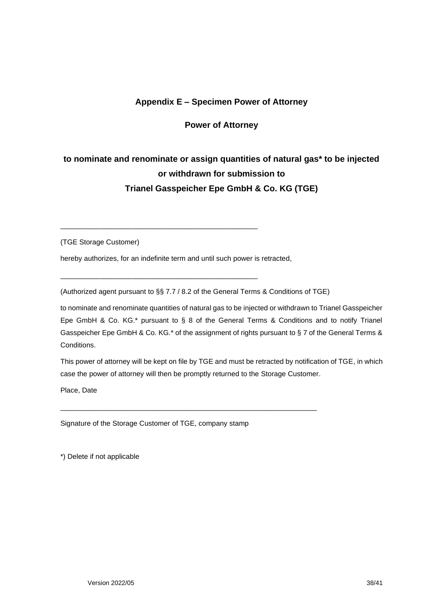## **Appendix E – Specimen Power of Attorney**

#### **Power of Attorney**

## <span id="page-37-0"></span>**to nominate and renominate or assign quantities of natural gas\* to be injected or withdrawn for submission to Trianel Gasspeicher Epe GmbH & Co. KG (TGE)**

(TGE Storage Customer)

hereby authorizes, for an indefinite term and until such power is retracted,

\_\_\_\_\_\_\_\_\_\_\_\_\_\_\_\_\_\_\_\_\_\_\_\_\_\_\_\_\_\_\_\_\_\_\_\_\_\_\_\_\_\_\_\_\_\_\_\_\_\_

\_\_\_\_\_\_\_\_\_\_\_\_\_\_\_\_\_\_\_\_\_\_\_\_\_\_\_\_\_\_\_\_\_\_\_\_\_\_\_\_\_\_\_\_\_\_\_\_\_\_

(Authorized agent pursuant to §§ 7.7 / 8.2 of the General Terms & Conditions of TGE)

\_\_\_\_\_\_\_\_\_\_\_\_\_\_\_\_\_\_\_\_\_\_\_\_\_\_\_\_\_\_\_\_\_\_\_\_\_\_\_\_\_\_\_\_\_\_\_\_\_\_\_\_\_\_\_\_\_\_\_\_\_\_\_\_\_

to nominate and renominate quantities of natural gas to be injected or withdrawn to Trianel Gasspeicher Epe GmbH & Co. KG.\* pursuant to § 8 of the General Terms & Conditions and to notify Trianel Gasspeicher Epe GmbH & Co. KG.\* of the assignment of rights pursuant to § 7 of the General Terms & Conditions.

This power of attorney will be kept on file by TGE and must be retracted by notification of TGE, in which case the power of attorney will then be promptly returned to the Storage Customer.

Place, Date

Signature of the Storage Customer of TGE, company stamp

\*) Delete if not applicable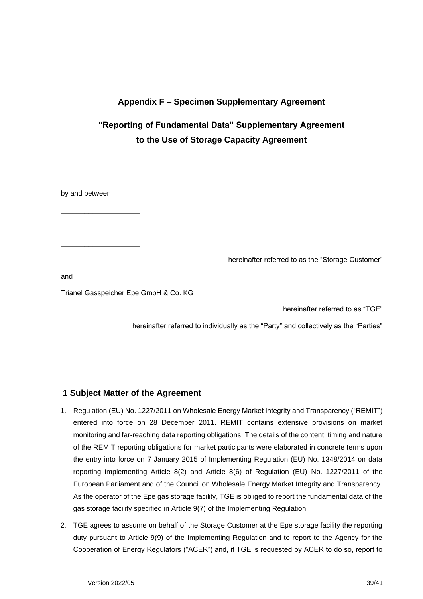## **Appendix F – Specimen Supplementary Agreement**

## <span id="page-38-0"></span>**"Reporting of Fundamental Data" Supplementary Agreement to the Use of Storage Capacity Agreement**

by and between

\_\_\_\_\_\_\_\_\_\_\_\_\_\_\_\_\_\_\_\_

\_\_\_\_\_\_\_\_\_\_\_\_\_\_\_\_\_\_\_\_

\_\_\_\_\_\_\_\_\_\_\_\_\_\_\_\_\_\_\_\_

hereinafter referred to as the "Storage Customer"

and

Trianel Gasspeicher Epe GmbH & Co. KG

hereinafter referred to as "TGE"

hereinafter referred to individually as the "Party" and collectively as the "Parties"

#### **1 Subject Matter of the Agreement**

- 1. Regulation (EU) No. 1227/2011 on Wholesale Energy Market Integrity and Transparency ("REMIT") entered into force on 28 December 2011. REMIT contains extensive provisions on market monitoring and far-reaching data reporting obligations. The details of the content, timing and nature of the REMIT reporting obligations for market participants were elaborated in concrete terms upon the entry into force on 7 January 2015 of Implementing Regulation (EU) No. 1348/2014 on data reporting implementing Article 8(2) and Article 8(6) of Regulation (EU) No. 1227/2011 of the European Parliament and of the Council on Wholesale Energy Market Integrity and Transparency. As the operator of the Epe gas storage facility, TGE is obliged to report the fundamental data of the gas storage facility specified in Article 9(7) of the Implementing Regulation.
- 2. TGE agrees to assume on behalf of the Storage Customer at the Epe storage facility the reporting duty pursuant to Article 9(9) of the Implementing Regulation and to report to the Agency for the Cooperation of Energy Regulators ("ACER") and, if TGE is requested by ACER to do so, report to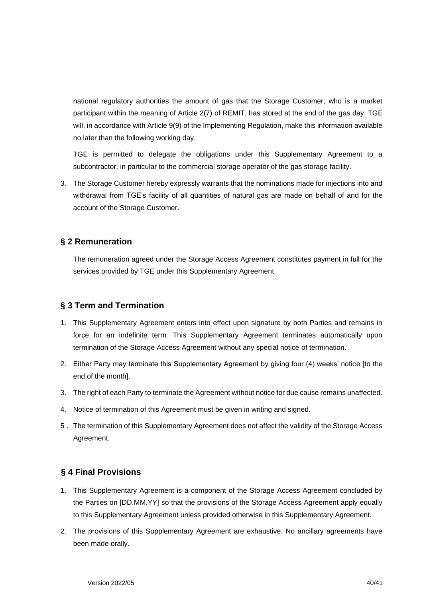national regulatory authorities the amount of gas that the Storage Customer, who is a market participant within the meaning of Article 2(7) of REMIT, has stored at the end of the gas day. TGE will, in accordance with Article 9(9) of the Implementing Regulation, make this information available no later than the following working day.

TGE is permitted to delegate the obligations under this Supplementary Agreement to a subcontractor, in particular to the commercial storage operator of the gas storage facility.

3. The Storage Customer hereby expressly warrants that the nominations made for injections into and withdrawal from TGE's facility of all quantities of natural gas are made on behalf of and for the account of the Storage Customer.

#### **§ 2 Remuneration**

The remuneration agreed under the Storage Access Agreement constitutes payment in full for the services provided by TGE under this Supplementary Agreement.

#### **§ 3 Term and Termination**

- 1. This Supplementary Agreement enters into effect upon signature by both Parties and remains in force for an indefinite term. This Supplementary Agreement terminates automatically upon termination of the Storage Access Agreement without any special notice of termination.
- 2. Either Party may terminate this Supplementary Agreement by giving four (4) weeks' notice [to the end of the month].
- 3. The right of each Party to terminate the Agreement without notice for due cause remains unaffected.
- 4. Notice of termination of this Agreement must be given in writing and signed.
- 5 . The termination of this Supplementary Agreement does not affect the validity of the Storage Access Agreement.

## **§ 4 Final Provisions**

- 1. This Supplementary Agreement is a component of the Storage Access Agreement concluded by the Parties on [DD.MM.YY] so that the provisions of the Storage Access Agreement apply equally to this Supplementary Agreement unless provided otherwise in this Supplementary Agreement.
- 2. The provisions of this Supplementary Agreement are exhaustive. No ancillary agreements have been made orally.